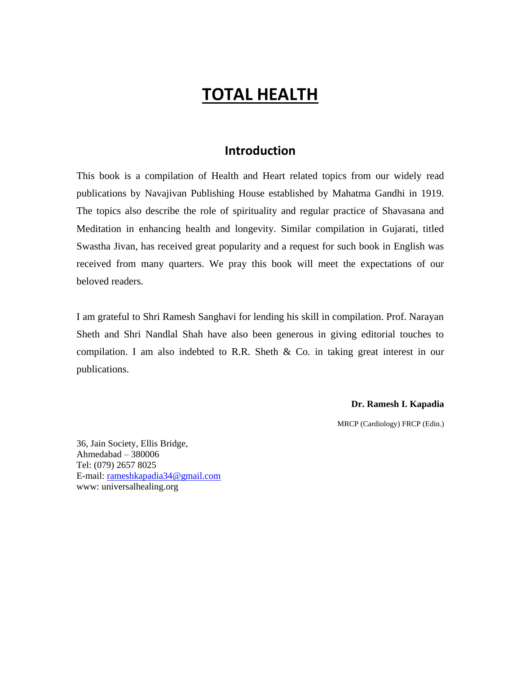# **TOTAL HEALTH**

#### **Introduction**

This book is a compilation of Health and Heart related topics from our widely read publications by Navajivan Publishing House established by Mahatma Gandhi in 1919. The topics also describe the role of spirituality and regular practice of Shavasana and Meditation in enhancing health and longevity. Similar compilation in Gujarati, titled Swastha Jivan, has received great popularity and a request for such book in English was received from many quarters. We pray this book will meet the expectations of our beloved readers.

I am grateful to Shri Ramesh Sanghavi for lending his skill in compilation. Prof. Narayan Sheth and Shri Nandlal Shah have also been generous in giving editorial touches to compilation. I am also indebted to R.R. Sheth  $\&$  Co. in taking great interest in our publications.

**Dr. Ramesh I. Kapadia**

MRCP (Cardiology) FRCP (Edin.)

36, Jain Society, Ellis Bridge, Ahmedabad – 380006 Tel: (079) 2657 8025 E-mail: [rameshkapadia34@gmail.com](mailto:rameshkapadia34@gmail.com) www: universalhealing.org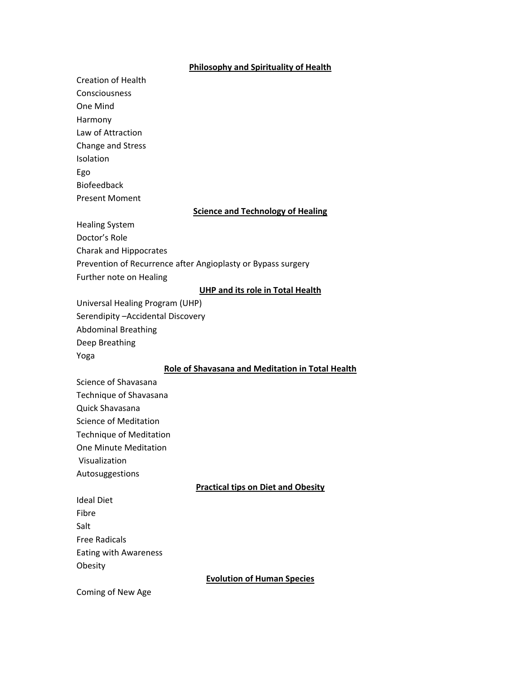#### **Philosophy and Spirituality of Health**

Creation of Health Consciousness

One Mind

Harmony

Law of Attraction

Change and Stress

Isolation Ego

Biofeedback

Present Moment

#### **Science and Technology of Healing**

Healing System

Doctor's Role

Charak and Hippocrates

Prevention of Recurrence after Angioplasty or Bypass surgery

Further note on Healing

#### **UHP and its role in Total Health**

Universal Healing Program (UHP)

Serendipity –Accidental Discovery

Abdominal Breathing

Deep Breathing

Yoga

#### **Role of Shavasana and Meditation in Total Health**

Science of Shavasana

Technique of Shavasana

Quick Shavasana

Science of Meditation

Technique of Meditation

One Minute Meditation

Visualization

Autosuggestions

#### **Practical tips on Diet and Obesity**

Ideal Diet Fibre Salt Free Radicals Eating with Awareness Obesity

#### **Evolution of Human Species**

Coming of New Age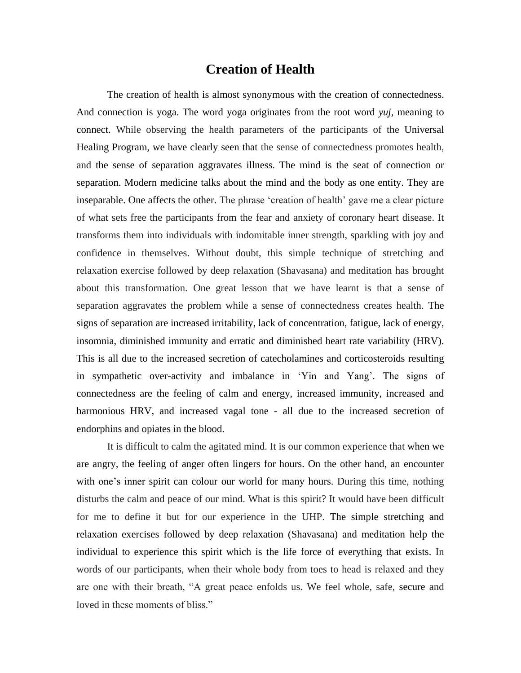#### **Creation of Health**

The creation of health is almost synonymous with the creation of connectedness. And connection is yoga. The word yoga originates from the root word *yuj,* meaning to connect. While observing the health parameters of the participants of the Universal Healing Program, we have clearly seen that the sense of connectedness promotes health, and the sense of separation aggravates illness. The mind is the seat of connection or separation. Modern medicine talks about the mind and the body as one entity. They are inseparable. One affects the other. The phrase 'creation of health' gave me a clear picture of what sets free the participants from the fear and anxiety of coronary heart disease. It transforms them into individuals with indomitable inner strength, sparkling with joy and confidence in themselves. Without doubt, this simple technique of stretching and relaxation exercise followed by deep relaxation (Shavasana) and meditation has brought about this transformation. One great lesson that we have learnt is that a sense of separation aggravates the problem while a sense of connectedness creates health. The signs of separation are increased irritability, lack of concentration, fatigue, lack of energy, insomnia, diminished immunity and erratic and diminished heart rate variability (HRV). This is all due to the increased secretion of catecholamines and corticosteroids resulting in sympathetic over-activity and imbalance in 'Yin and Yang'. The signs of connectedness are the feeling of calm and energy, increased immunity, increased and harmonious HRV, and increased vagal tone - all due to the increased secretion of endorphins and opiates in the blood.

It is difficult to calm the agitated mind. It is our common experience that when we are angry, the feeling of anger often lingers for hours. On the other hand, an encounter with one's inner spirit can colour our world for many hours. During this time, nothing disturbs the calm and peace of our mind. What is this spirit? It would have been difficult for me to define it but for our experience in the UHP. The simple stretching and relaxation exercises followed by deep relaxation (Shavasana) and meditation help the individual to experience this spirit which is the life force of everything that exists. In words of our participants, when their whole body from toes to head is relaxed and they are one with their breath, "A great peace enfolds us. We feel whole, safe, secure and loved in these moments of bliss."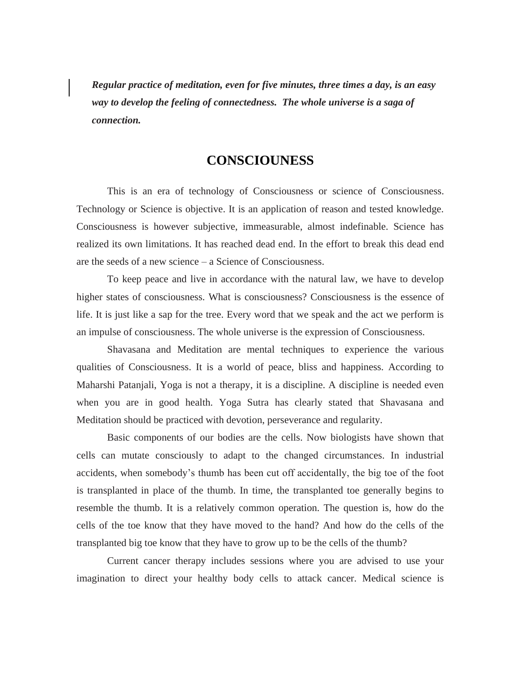*Regular practice of meditation, even for five minutes, three times a day, is an easy way to develop the feeling of connectedness. The whole universe is a saga of connection.*

#### **CONSCIOUNESS**

This is an era of technology of Consciousness or science of Consciousness. Technology or Science is objective. It is an application of reason and tested knowledge. Consciousness is however subjective, immeasurable, almost indefinable. Science has realized its own limitations. It has reached dead end. In the effort to break this dead end are the seeds of a new science – a Science of Consciousness.

To keep peace and live in accordance with the natural law, we have to develop higher states of consciousness. What is consciousness? Consciousness is the essence of life. It is just like a sap for the tree. Every word that we speak and the act we perform is an impulse of consciousness. The whole universe is the expression of Consciousness.

Shavasana and Meditation are mental techniques to experience the various qualities of Consciousness. It is a world of peace, bliss and happiness. According to Maharshi Patanjali, Yoga is not a therapy, it is a discipline. A discipline is needed even when you are in good health. Yoga Sutra has clearly stated that Shavasana and Meditation should be practiced with devotion, perseverance and regularity.

Basic components of our bodies are the cells. Now biologists have shown that cells can mutate consciously to adapt to the changed circumstances. In industrial accidents, when somebody's thumb has been cut off accidentally, the big toe of the foot is transplanted in place of the thumb. In time, the transplanted toe generally begins to resemble the thumb. It is a relatively common operation. The question is, how do the cells of the toe know that they have moved to the hand? And how do the cells of the transplanted big toe know that they have to grow up to be the cells of the thumb?

Current cancer therapy includes sessions where you are advised to use your imagination to direct your healthy body cells to attack cancer. Medical science is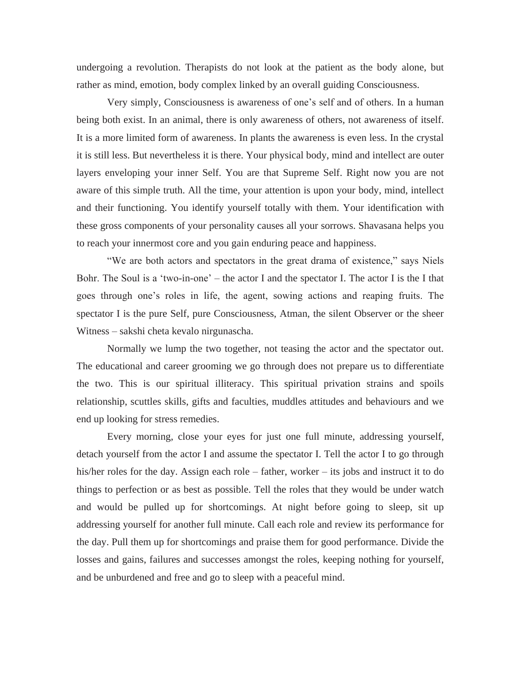undergoing a revolution. Therapists do not look at the patient as the body alone, but rather as mind, emotion, body complex linked by an overall guiding Consciousness.

Very simply, Consciousness is awareness of one's self and of others. In a human being both exist. In an animal, there is only awareness of others, not awareness of itself. It is a more limited form of awareness. In plants the awareness is even less. In the crystal it is still less. But nevertheless it is there. Your physical body, mind and intellect are outer layers enveloping your inner Self. You are that Supreme Self. Right now you are not aware of this simple truth. All the time, your attention is upon your body, mind, intellect and their functioning. You identify yourself totally with them. Your identification with these gross components of your personality causes all your sorrows. Shavasana helps you to reach your innermost core and you gain enduring peace and happiness.

We are both actors and spectators in the great drama of existence," says Niels Bohr. The Soul is a 'two-in-one' – the actor I and the spectator I. The actor I is the I that goes through one's roles in life, the agent, sowing actions and reaping fruits. The spectator I is the pure Self, pure Consciousness, Atman, the silent Observer or the sheer Witness – sakshi cheta kevalo nirgunascha.

Normally we lump the two together, not teasing the actor and the spectator out. The educational and career grooming we go through does not prepare us to differentiate the two. This is our spiritual illiteracy. This spiritual privation strains and spoils relationship, scuttles skills, gifts and faculties, muddles attitudes and behaviours and we end up looking for stress remedies.

Every morning, close your eyes for just one full minute, addressing yourself, detach yourself from the actor I and assume the spectator I. Tell the actor I to go through his/her roles for the day. Assign each role – father, worker – its jobs and instruct it to do things to perfection or as best as possible. Tell the roles that they would be under watch and would be pulled up for shortcomings. At night before going to sleep, sit up addressing yourself for another full minute. Call each role and review its performance for the day. Pull them up for shortcomings and praise them for good performance. Divide the losses and gains, failures and successes amongst the roles, keeping nothing for yourself, and be unburdened and free and go to sleep with a peaceful mind.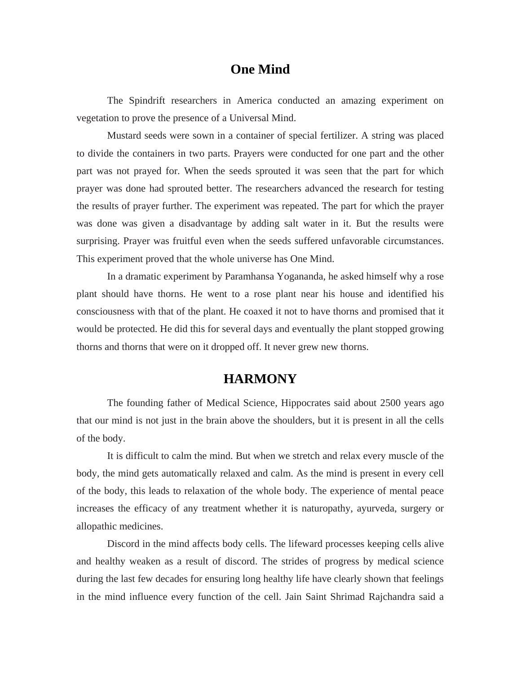## **One Mind**

The Spindrift researchers in America conducted an amazing experiment on vegetation to prove the presence of a Universal Mind.

Mustard seeds were sown in a container of special fertilizer. A string was placed to divide the containers in two parts. Prayers were conducted for one part and the other part was not prayed for. When the seeds sprouted it was seen that the part for which prayer was done had sprouted better. The researchers advanced the research for testing the results of prayer further. The experiment was repeated. The part for which the prayer was done was given a disadvantage by adding salt water in it. But the results were surprising. Prayer was fruitful even when the seeds suffered unfavorable circumstances. This experiment proved that the whole universe has One Mind.

In a dramatic experiment by Paramhansa Yogananda, he asked himself why a rose plant should have thorns. He went to a rose plant near his house and identified his consciousness with that of the plant. He coaxed it not to have thorns and promised that it would be protected. He did this for several days and eventually the plant stopped growing thorns and thorns that were on it dropped off. It never grew new thorns.

#### **HARMONY**

The founding father of Medical Science, Hippocrates said about 2500 years ago that our mind is not just in the brain above the shoulders, but it is present in all the cells of the body.

It is difficult to calm the mind. But when we stretch and relax every muscle of the body, the mind gets automatically relaxed and calm. As the mind is present in every cell of the body, this leads to relaxation of the whole body. The experience of mental peace increases the efficacy of any treatment whether it is naturopathy, ayurveda, surgery or allopathic medicines.

Discord in the mind affects body cells. The lifeward processes keeping cells alive and healthy weaken as a result of discord. The strides of progress by medical science during the last few decades for ensuring long healthy life have clearly shown that feelings in the mind influence every function of the cell. Jain Saint Shrimad Rajchandra said a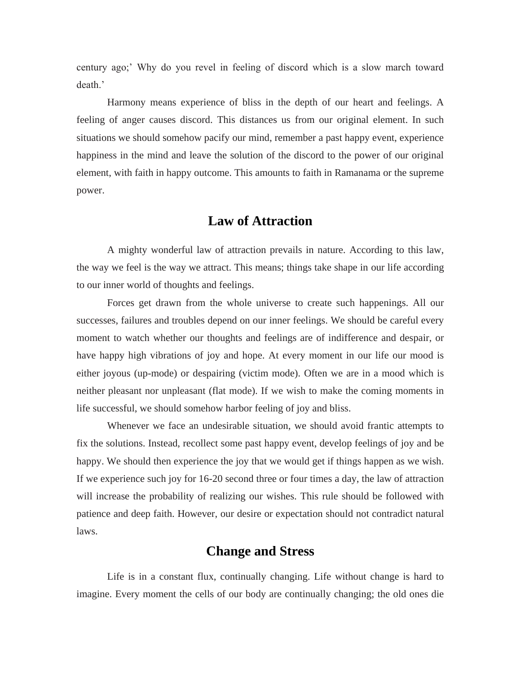century ago;' Why do you revel in feeling of discord which is a slow march toward death.'

Harmony means experience of bliss in the depth of our heart and feelings. A feeling of anger causes discord. This distances us from our original element. In such situations we should somehow pacify our mind, remember a past happy event, experience happiness in the mind and leave the solution of the discord to the power of our original element, with faith in happy outcome. This amounts to faith in Ramanama or the supreme power.

### **Law of Attraction**

A mighty wonderful law of attraction prevails in nature. According to this law, the way we feel is the way we attract. This means; things take shape in our life according to our inner world of thoughts and feelings.

Forces get drawn from the whole universe to create such happenings. All our successes, failures and troubles depend on our inner feelings. We should be careful every moment to watch whether our thoughts and feelings are of indifference and despair, or have happy high vibrations of joy and hope. At every moment in our life our mood is either joyous (up-mode) or despairing (victim mode). Often we are in a mood which is neither pleasant nor unpleasant (flat mode). If we wish to make the coming moments in life successful, we should somehow harbor feeling of joy and bliss.

Whenever we face an undesirable situation, we should avoid frantic attempts to fix the solutions. Instead, recollect some past happy event, develop feelings of joy and be happy. We should then experience the joy that we would get if things happen as we wish. If we experience such joy for 16-20 second three or four times a day, the law of attraction will increase the probability of realizing our wishes. This rule should be followed with patience and deep faith. However, our desire or expectation should not contradict natural laws.

### **Change and Stress**

Life is in a constant flux, continually changing. Life without change is hard to imagine. Every moment the cells of our body are continually changing; the old ones die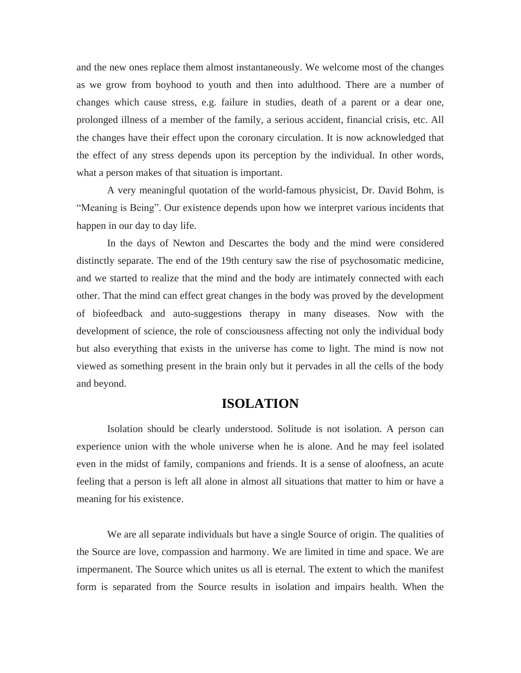and the new ones replace them almost instantaneously. We welcome most of the changes as we grow from boyhood to youth and then into adulthood. There are a number of changes which cause stress, e.g. failure in studies, death of a parent or a dear one, prolonged illness of a member of the family, a serious accident, financial crisis, etc. All the changes have their effect upon the coronary circulation. It is now acknowledged that the effect of any stress depends upon its perception by the individual. In other words, what a person makes of that situation is important.

A very meaningful quotation of the world-famous physicist, Dr. David Bohm, is "Meaning is Being". Our existence depends upon how we interpret various incidents that happen in our day to day life.

In the days of Newton and Descartes the body and the mind were considered distinctly separate. The end of the 19th century saw the rise of psychosomatic medicine, and we started to realize that the mind and the body are intimately connected with each other. That the mind can effect great changes in the body was proved by the development of biofeedback and auto-suggestions therapy in many diseases. Now with the development of science, the role of consciousness affecting not only the individual body but also everything that exists in the universe has come to light. The mind is now not viewed as something present in the brain only but it pervades in all the cells of the body and beyond.

## **ISOLATION**

Isolation should be clearly understood. Solitude is not isolation. A person can experience union with the whole universe when he is alone. And he may feel isolated even in the midst of family, companions and friends. It is a sense of aloofness, an acute feeling that a person is left all alone in almost all situations that matter to him or have a meaning for his existence.

We are all separate individuals but have a single Source of origin. The qualities of the Source are love, compassion and harmony. We are limited in time and space. We are impermanent. The Source which unites us all is eternal. The extent to which the manifest form is separated from the Source results in isolation and impairs health. When the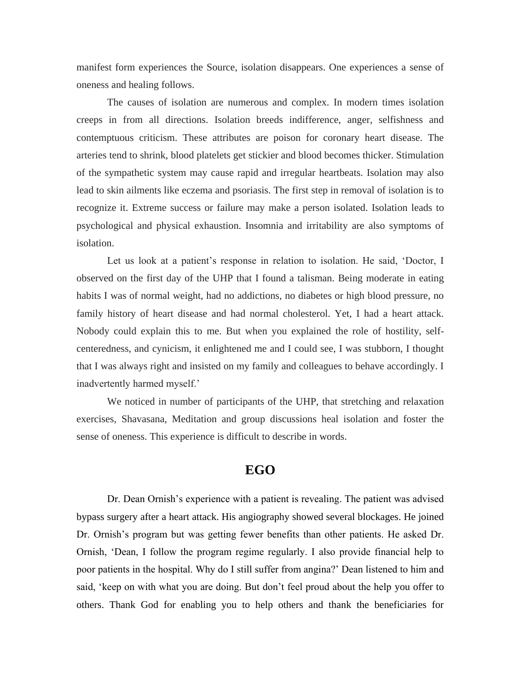manifest form experiences the Source, isolation disappears. One experiences a sense of oneness and healing follows.

The causes of isolation are numerous and complex. In modern times isolation creeps in from all directions. Isolation breeds indifference, anger, selfishness and contemptuous criticism. These attributes are poison for coronary heart disease. The arteries tend to shrink, blood platelets get stickier and blood becomes thicker. Stimulation of the sympathetic system may cause rapid and irregular heartbeats. Isolation may also lead to skin ailments like eczema and psoriasis. The first step in removal of isolation is to recognize it. Extreme success or failure may make a person isolated. Isolation leads to psychological and physical exhaustion. Insomnia and irritability are also symptoms of isolation.

Let us look at a patient's response in relation to isolation. He said, 'Doctor, I observed on the first day of the UHP that I found a talisman. Being moderate in eating habits I was of normal weight, had no addictions, no diabetes or high blood pressure, no family history of heart disease and had normal cholesterol. Yet, I had a heart attack. Nobody could explain this to me. But when you explained the role of hostility, selfcenteredness, and cynicism, it enlightened me and I could see, I was stubborn, I thought that I was always right and insisted on my family and colleagues to behave accordingly. I inadvertently harmed myself.'

We noticed in number of participants of the UHP, that stretching and relaxation exercises, Shavasana, Meditation and group discussions heal isolation and foster the sense of oneness. This experience is difficult to describe in words.

#### **EGO**

Dr. Dean Ornish's experience with a patient is revealing. The patient was advised bypass surgery after a heart attack. His angiography showed several blockages. He joined Dr. Ornish's program but was getting fewer benefits than other patients. He asked Dr. Ornish, ‗Dean, I follow the program regime regularly. I also provide financial help to poor patients in the hospital. Why do I still suffer from angina?' Dean listened to him and said, 'keep on with what you are doing. But don't feel proud about the help you offer to others. Thank God for enabling you to help others and thank the beneficiaries for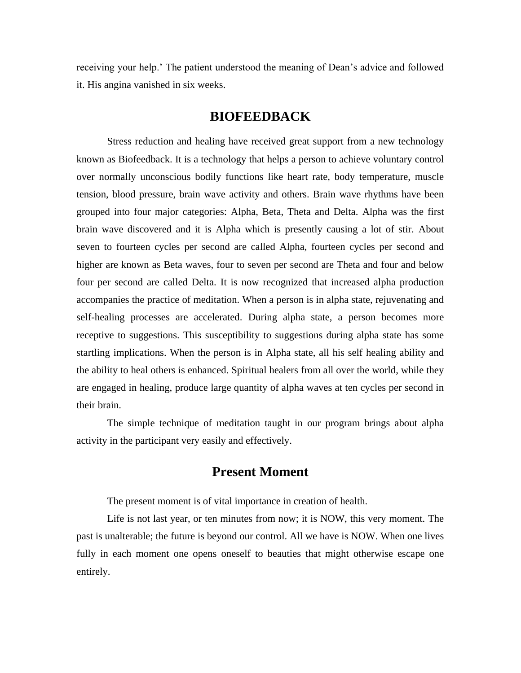receiving your help.' The patient understood the meaning of Dean's advice and followed it. His angina vanished in six weeks.

### **BIOFEEDBACK**

Stress reduction and healing have received great support from a new technology known as Biofeedback. It is a technology that helps a person to achieve voluntary control over normally unconscious bodily functions like heart rate, body temperature, muscle tension, blood pressure, brain wave activity and others. Brain wave rhythms have been grouped into four major categories: Alpha, Beta, Theta and Delta. Alpha was the first brain wave discovered and it is Alpha which is presently causing a lot of stir. About seven to fourteen cycles per second are called Alpha, fourteen cycles per second and higher are known as Beta waves, four to seven per second are Theta and four and below four per second are called Delta. It is now recognized that increased alpha production accompanies the practice of meditation. When a person is in alpha state, rejuvenating and self-healing processes are accelerated. During alpha state, a person becomes more receptive to suggestions. This susceptibility to suggestions during alpha state has some startling implications. When the person is in Alpha state, all his self healing ability and the ability to heal others is enhanced. Spiritual healers from all over the world, while they are engaged in healing, produce large quantity of alpha waves at ten cycles per second in their brain.

The simple technique of meditation taught in our program brings about alpha activity in the participant very easily and effectively.

#### **Present Moment**

The present moment is of vital importance in creation of health.

Life is not last year, or ten minutes from now; it is NOW, this very moment. The past is unalterable; the future is beyond our control. All we have is NOW. When one lives fully in each moment one opens oneself to beauties that might otherwise escape one entirely.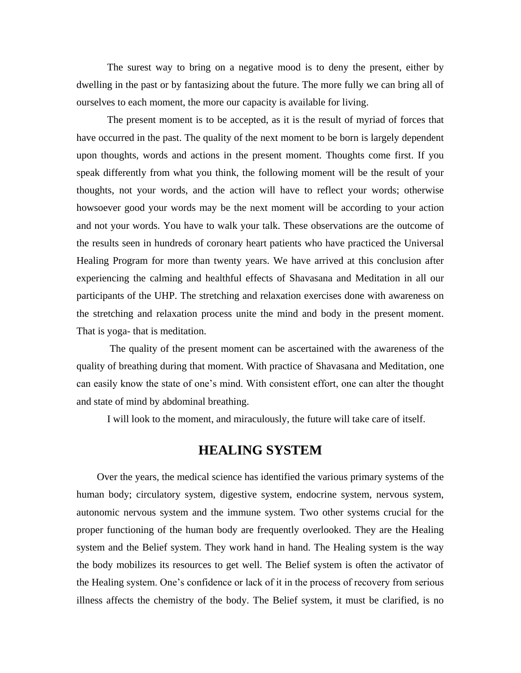The surest way to bring on a negative mood is to deny the present, either by dwelling in the past or by fantasizing about the future. The more fully we can bring all of ourselves to each moment, the more our capacity is available for living.

The present moment is to be accepted, as it is the result of myriad of forces that have occurred in the past. The quality of the next moment to be born is largely dependent upon thoughts, words and actions in the present moment. Thoughts come first. If you speak differently from what you think, the following moment will be the result of your thoughts, not your words, and the action will have to reflect your words; otherwise howsoever good your words may be the next moment will be according to your action and not your words. You have to walk your talk. These observations are the outcome of the results seen in hundreds of coronary heart patients who have practiced the Universal Healing Program for more than twenty years. We have arrived at this conclusion after experiencing the calming and healthful effects of Shavasana and Meditation in all our participants of the UHP. The stretching and relaxation exercises done with awareness on the stretching and relaxation process unite the mind and body in the present moment. That is yoga- that is meditation.

The quality of the present moment can be ascertained with the awareness of the quality of breathing during that moment. With practice of Shavasana and Meditation, one can easily know the state of one's mind. With consistent effort, one can alter the thought and state of mind by abdominal breathing.

I will look to the moment, and miraculously, the future will take care of itself.

#### **HEALING SYSTEM**

 Over the years, the medical science has identified the various primary systems of the human body; circulatory system, digestive system, endocrine system, nervous system, autonomic nervous system and the immune system. Two other systems crucial for the proper functioning of the human body are frequently overlooked. They are the Healing system and the Belief system. They work hand in hand. The Healing system is the way the body mobilizes its resources to get well. The Belief system is often the activator of the Healing system. One's confidence or lack of it in the process of recovery from serious illness affects the chemistry of the body. The Belief system, it must be clarified, is no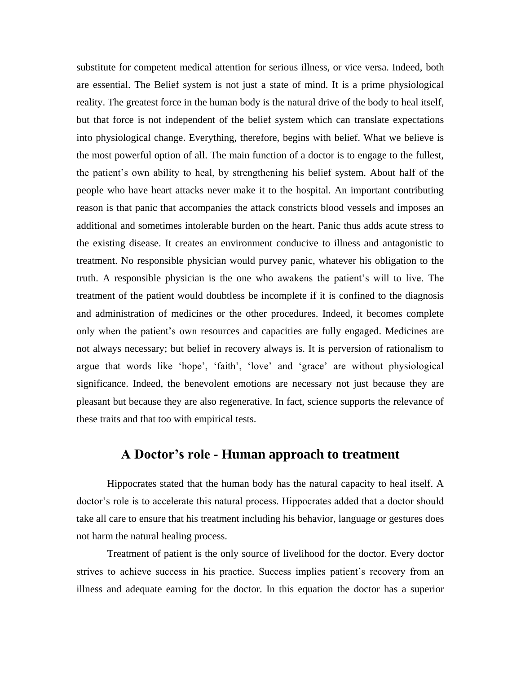substitute for competent medical attention for serious illness, or vice versa. Indeed, both are essential. The Belief system is not just a state of mind. It is a prime physiological reality. The greatest force in the human body is the natural drive of the body to heal itself, but that force is not independent of the belief system which can translate expectations into physiological change. Everything, therefore, begins with belief. What we believe is the most powerful option of all. The main function of a doctor is to engage to the fullest, the patient's own ability to heal, by strengthening his belief system. About half of the people who have heart attacks never make it to the hospital. An important contributing reason is that panic that accompanies the attack constricts blood vessels and imposes an additional and sometimes intolerable burden on the heart. Panic thus adds acute stress to the existing disease. It creates an environment conducive to illness and antagonistic to treatment. No responsible physician would purvey panic, whatever his obligation to the truth. A responsible physician is the one who awakens the patient's will to live. The treatment of the patient would doubtless be incomplete if it is confined to the diagnosis and administration of medicines or the other procedures. Indeed, it becomes complete only when the patient's own resources and capacities are fully engaged. Medicines are not always necessary; but belief in recovery always is. It is perversion of rationalism to argue that words like 'hope', 'faith', 'love' and 'grace' are without physiological significance. Indeed, the benevolent emotions are necessary not just because they are pleasant but because they are also regenerative. In fact, science supports the relevance of these traits and that too with empirical tests.

## **A Doctor's role - Human approach to treatment**

Hippocrates stated that the human body has the natural capacity to heal itself. A doctor's role is to accelerate this natural process. Hippocrates added that a doctor should take all care to ensure that his treatment including his behavior, language or gestures does not harm the natural healing process.

Treatment of patient is the only source of livelihood for the doctor. Every doctor strives to achieve success in his practice. Success implies patient's recovery from an illness and adequate earning for the doctor. In this equation the doctor has a superior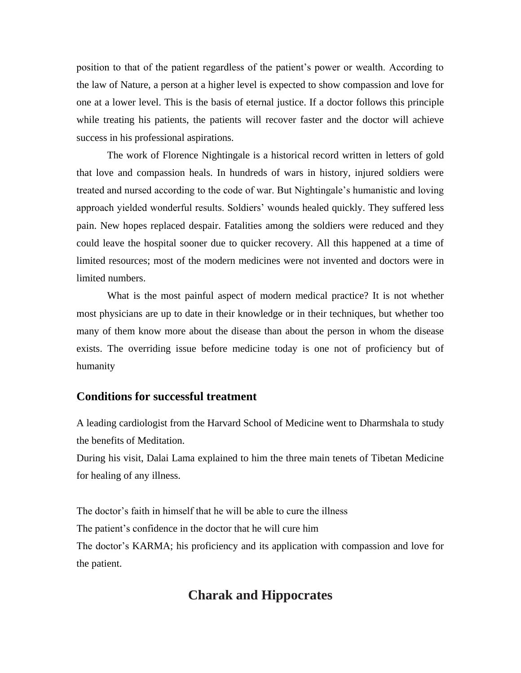position to that of the patient regardless of the patient's power or wealth. According to the law of Nature, a person at a higher level is expected to show compassion and love for one at a lower level. This is the basis of eternal justice. If a doctor follows this principle while treating his patients, the patients will recover faster and the doctor will achieve success in his professional aspirations.

The work of Florence Nightingale is a historical record written in letters of gold that love and compassion heals. In hundreds of wars in history, injured soldiers were treated and nursed according to the code of war. But Nightingale's humanistic and loving approach yielded wonderful results. Soldiers' wounds healed quickly. They suffered less pain. New hopes replaced despair. Fatalities among the soldiers were reduced and they could leave the hospital sooner due to quicker recovery. All this happened at a time of limited resources; most of the modern medicines were not invented and doctors were in limited numbers.

What is the most painful aspect of modern medical practice? It is not whether most physicians are up to date in their knowledge or in their techniques, but whether too many of them know more about the disease than about the person in whom the disease exists. The overriding issue before medicine today is one not of proficiency but of humanity

#### **Conditions for successful treatment**

A leading cardiologist from the Harvard School of Medicine went to Dharmshala to study the benefits of Meditation.

During his visit, Dalai Lama explained to him the three main tenets of Tibetan Medicine for healing of any illness.

The doctor's faith in himself that he will be able to cure the illness

The patient's confidence in the doctor that he will cure him

The doctor's KARMA; his proficiency and its application with compassion and love for the patient.

## **Charak and Hippocrates**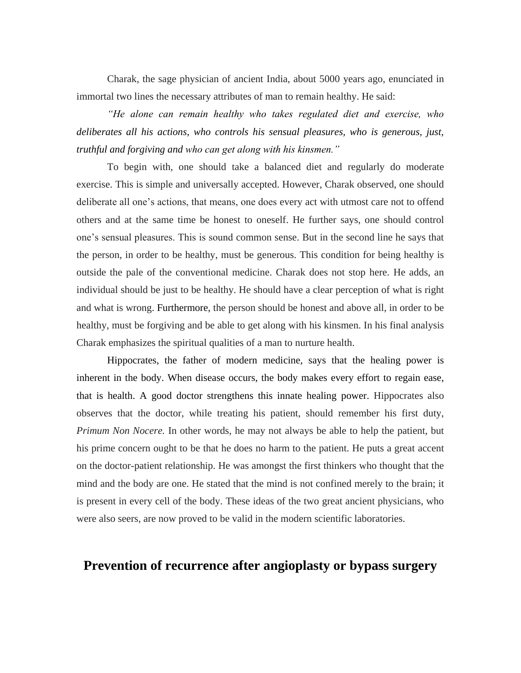Charak, the sage physician of ancient India, about 5000 years ago, enunciated in immortal two lines the necessary attributes of man to remain healthy. He said:

*"He alone can remain healthy who takes regulated diet and exercise, who deliberates all his actions, who controls his sensual pleasures, who is generous, just, truthful and forgiving and who can get along with his kinsmen."*

To begin with, one should take a balanced diet and regularly do moderate exercise. This is simple and universally accepted. However, Charak observed, one should deliberate all one's actions, that means, one does every act with utmost care not to offend others and at the same time be honest to oneself. He further says, one should control one's sensual pleasures. This is sound common sense. But in the second line he says that the person, in order to be healthy, must be generous. This condition for being healthy is outside the pale of the conventional medicine. Charak does not stop here. He adds, an individual should be just to be healthy. He should have a clear perception of what is right and what is wrong. Furthermore, the person should be honest and above all, in order to be healthy, must be forgiving and be able to get along with his kinsmen. In his final analysis Charak emphasizes the spiritual qualities of a man to nurture health.

Hippocrates, the father of modern medicine, says that the healing power is inherent in the body. When disease occurs, the body makes every effort to regain ease, that is health. A good doctor strengthens this innate healing power. Hippocrates also observes that the doctor, while treating his patient, should remember his first duty, *Primum Non Nocere.* In other words, he may not always be able to help the patient, but his prime concern ought to be that he does no harm to the patient. He puts a great accent on the doctor-patient relationship. He was amongst the first thinkers who thought that the mind and the body are one. He stated that the mind is not confined merely to the brain; it is present in every cell of the body. These ideas of the two great ancient physicians, who were also seers, are now proved to be valid in the modern scientific laboratories.

## **Prevention of recurrence after angioplasty or bypass surgery**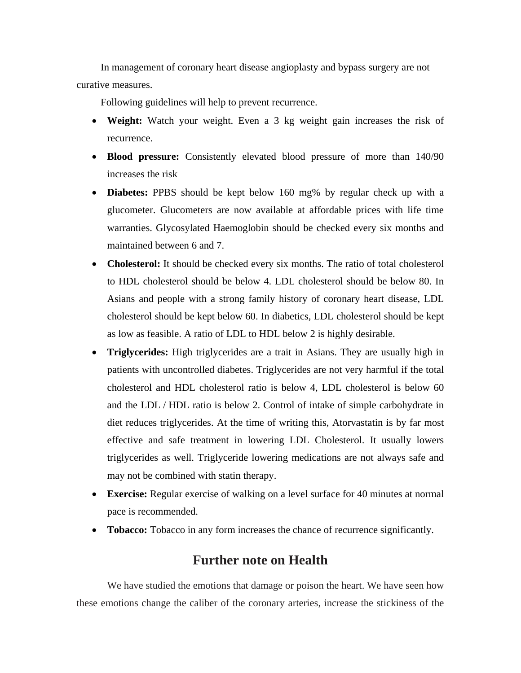In management of coronary heart disease angioplasty and bypass surgery are not curative measures.

Following guidelines will help to prevent recurrence.

- **Weight:** Watch your weight. Even a 3 kg weight gain increases the risk of recurrence.
- **Blood pressure:** Consistently elevated blood pressure of more than 140/90 increases the risk
- **Diabetes:** PPBS should be kept below 160 mg% by regular check up with a glucometer. Glucometers are now available at affordable prices with life time warranties. Glycosylated Haemoglobin should be checked every six months and maintained between 6 and 7.
- **Cholesterol:** It should be checked every six months. The ratio of total cholesterol to HDL cholesterol should be below 4. LDL cholesterol should be below 80. In Asians and people with a strong family history of coronary heart disease, LDL cholesterol should be kept below 60. In diabetics, LDL cholesterol should be kept as low as feasible. A ratio of LDL to HDL below 2 is highly desirable.
- **Triglycerides:** High triglycerides are a trait in Asians. They are usually high in patients with uncontrolled diabetes. Triglycerides are not very harmful if the total cholesterol and HDL cholesterol ratio is below 4, LDL cholesterol is below 60 and the LDL / HDL ratio is below 2. Control of intake of simple carbohydrate in diet reduces triglycerides. At the time of writing this, Atorvastatin is by far most effective and safe treatment in lowering LDL Cholesterol. It usually lowers triglycerides as well. Triglyceride lowering medications are not always safe and may not be combined with statin therapy.
- **Exercise:** Regular exercise of walking on a level surface for 40 minutes at normal pace is recommended.
- **Tobacco:** Tobacco in any form increases the chance of recurrence significantly.

### **Further note on Health**

We have studied the emotions that damage or poison the heart. We have seen how these emotions change the caliber of the coronary arteries, increase the stickiness of the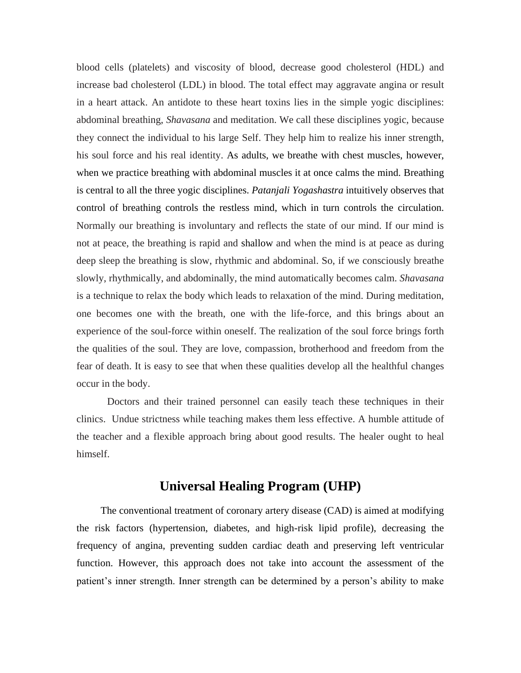blood cells (platelets) and viscosity of blood, decrease good cholesterol (HDL) and increase bad cholesterol (LDL) in blood. The total effect may aggravate angina or result in a heart attack. An antidote to these heart toxins lies in the simple yogic disciplines: abdominal breathing, *Shavasana* and meditation. We call these disciplines yogic, because they connect the individual to his large Self. They help him to realize his inner strength, his soul force and his real identity. As adults, we breathe with chest muscles, however, when we practice breathing with abdominal muscles it at once calms the mind. Breathing is central to all the three yogic disciplines. *Patanjali Yogashastra* intuitively observes that control of breathing controls the restless mind, which in turn controls the circulation. Normally our breathing is involuntary and reflects the state of our mind. If our mind is not at peace, the breathing is rapid and shallow and when the mind is at peace as during deep sleep the breathing is slow, rhythmic and abdominal. So, if we consciously breathe slowly, rhythmically, and abdominally, the mind automatically becomes calm. *Shavasana*  is a technique to relax the body which leads to relaxation of the mind. During meditation, one becomes one with the breath, one with the life-force, and this brings about an experience of the soul-force within oneself. The realization of the soul force brings forth the qualities of the soul. They are love, compassion, brotherhood and freedom from the fear of death. It is easy to see that when these qualities develop all the healthful changes occur in the body.

Doctors and their trained personnel can easily teach these techniques in their clinics. Undue strictness while teaching makes them less effective. A humble attitude of the teacher and a flexible approach bring about good results. The healer ought to heal himself.

#### **Universal Healing Program (UHP)**

The conventional treatment of coronary artery disease (CAD) is aimed at modifying the risk factors (hypertension, diabetes, and high-risk lipid profile), decreasing the frequency of angina, preventing sudden cardiac death and preserving left ventricular function. However, this approach does not take into account the assessment of the patient's inner strength. Inner strength can be determined by a person's ability to make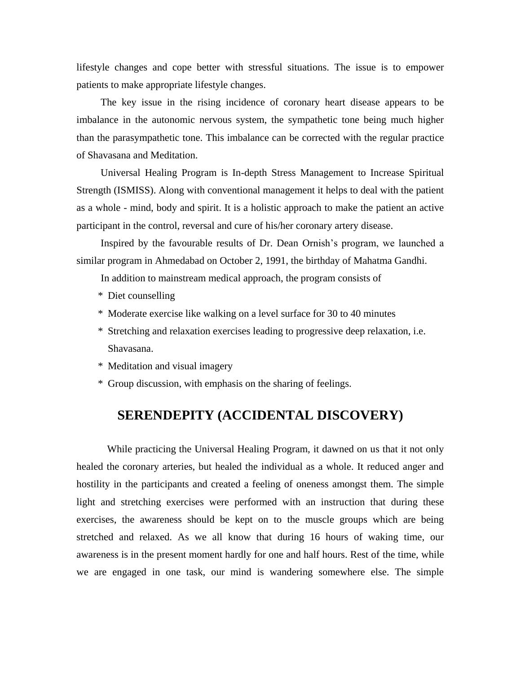lifestyle changes and cope better with stressful situations. The issue is to empower patients to make appropriate lifestyle changes.

The key issue in the rising incidence of coronary heart disease appears to be imbalance in the autonomic nervous system, the sympathetic tone being much higher than the parasympathetic tone. This imbalance can be corrected with the regular practice of Shavasana and Meditation.

Universal Healing Program is In-depth Stress Management to Increase Spiritual Strength (ISMISS). Along with conventional management it helps to deal with the patient as a whole - mind, body and spirit. It is a holistic approach to make the patient an active participant in the control, reversal and cure of his/her coronary artery disease.

Inspired by the favourable results of Dr. Dean Ornish's program, we launched a similar program in Ahmedabad on October 2, 1991, the birthday of Mahatma Gandhi.

In addition to mainstream medical approach, the program consists of

- \* Diet counselling
- \* Moderate exercise like walking on a level surface for 30 to 40 minutes
- \* Stretching and relaxation exercises leading to progressive deep relaxation, i.e. Shavasana.
- \* Meditation and visual imagery
- \* Group discussion, with emphasis on the sharing of feelings.

## **SERENDEPITY (ACCIDENTAL DISCOVERY)**

While practicing the Universal Healing Program, it dawned on us that it not only healed the coronary arteries, but healed the individual as a whole. It reduced anger and hostility in the participants and created a feeling of oneness amongst them. The simple light and stretching exercises were performed with an instruction that during these exercises, the awareness should be kept on to the muscle groups which are being stretched and relaxed. As we all know that during 16 hours of waking time, our awareness is in the present moment hardly for one and half hours. Rest of the time, while we are engaged in one task, our mind is wandering somewhere else. The simple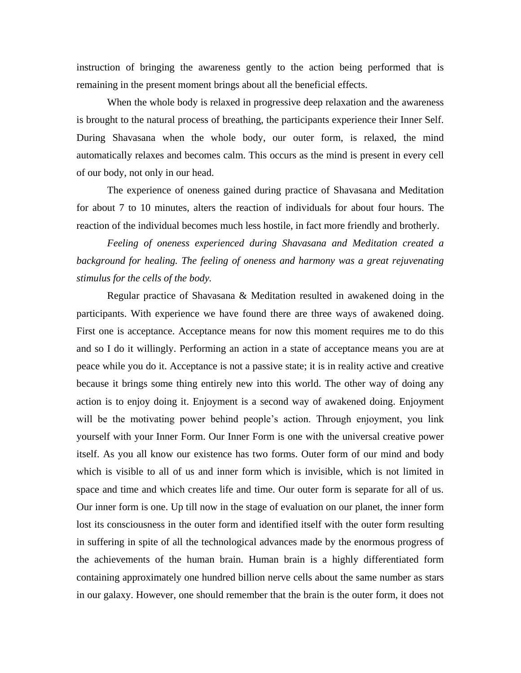instruction of bringing the awareness gently to the action being performed that is remaining in the present moment brings about all the beneficial effects.

When the whole body is relaxed in progressive deep relaxation and the awareness is brought to the natural process of breathing, the participants experience their Inner Self. During Shavasana when the whole body, our outer form, is relaxed, the mind automatically relaxes and becomes calm. This occurs as the mind is present in every cell of our body, not only in our head.

The experience of oneness gained during practice of Shavasana and Meditation for about 7 to 10 minutes, alters the reaction of individuals for about four hours. The reaction of the individual becomes much less hostile, in fact more friendly and brotherly.

*Feeling of oneness experienced during Shavasana and Meditation created a background for healing. The feeling of oneness and harmony was a great rejuvenating stimulus for the cells of the body.* 

Regular practice of Shavasana & Meditation resulted in awakened doing in the participants. With experience we have found there are three ways of awakened doing. First one is acceptance. Acceptance means for now this moment requires me to do this and so I do it willingly. Performing an action in a state of acceptance means you are at peace while you do it. Acceptance is not a passive state; it is in reality active and creative because it brings some thing entirely new into this world. The other way of doing any action is to enjoy doing it. Enjoyment is a second way of awakened doing. Enjoyment will be the motivating power behind people's action. Through enjoyment, you link yourself with your Inner Form. Our Inner Form is one with the universal creative power itself. As you all know our existence has two forms. Outer form of our mind and body which is visible to all of us and inner form which is invisible, which is not limited in space and time and which creates life and time. Our outer form is separate for all of us. Our inner form is one. Up till now in the stage of evaluation on our planet, the inner form lost its consciousness in the outer form and identified itself with the outer form resulting in suffering in spite of all the technological advances made by the enormous progress of the achievements of the human brain. Human brain is a highly differentiated form containing approximately one hundred billion nerve cells about the same number as stars in our galaxy. However, one should remember that the brain is the outer form, it does not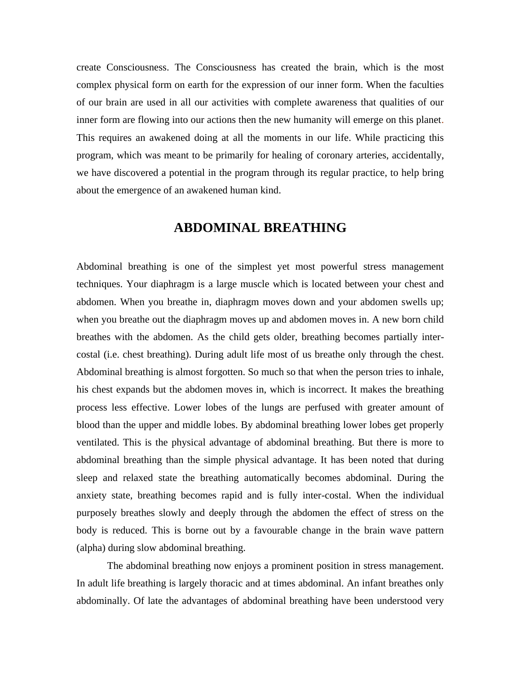create Consciousness. The Consciousness has created the brain, which is the most complex physical form on earth for the expression of our inner form. When the faculties of our brain are used in all our activities with complete awareness that qualities of our inner form are flowing into our actions then the new humanity will emerge on this planet. This requires an awakened doing at all the moments in our life. While practicing this program, which was meant to be primarily for healing of coronary arteries, accidentally, we have discovered a potential in the program through its regular practice, to help bring about the emergence of an awakened human kind.

#### **ABDOMINAL BREATHING**

Abdominal breathing is one of the simplest yet most powerful stress management techniques. Your diaphragm is a large muscle which is located between your chest and abdomen. When you breathe in, diaphragm moves down and your abdomen swells up; when you breathe out the diaphragm moves up and abdomen moves in. A new born child breathes with the abdomen. As the child gets older, breathing becomes partially intercostal (i.e. chest breathing). During adult life most of us breathe only through the chest. Abdominal breathing is almost forgotten. So much so that when the person tries to inhale, his chest expands but the abdomen moves in, which is incorrect. It makes the breathing process less effective. Lower lobes of the lungs are perfused with greater amount of blood than the upper and middle lobes. By abdominal breathing lower lobes get properly ventilated. This is the physical advantage of abdominal breathing. But there is more to abdominal breathing than the simple physical advantage. It has been noted that during sleep and relaxed state the breathing automatically becomes abdominal. During the anxiety state, breathing becomes rapid and is fully inter-costal. When the individual purposely breathes slowly and deeply through the abdomen the effect of stress on the body is reduced. This is borne out by a favourable change in the brain wave pattern (alpha) during slow abdominal breathing.

The abdominal breathing now enjoys a prominent position in stress management. In adult life breathing is largely thoracic and at times abdominal. An infant breathes only abdominally. Of late the advantages of abdominal breathing have been understood very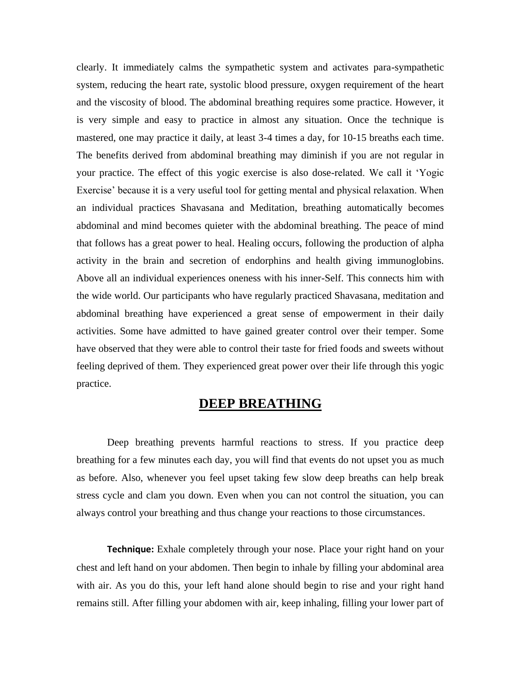clearly. It immediately calms the sympathetic system and activates para-sympathetic system, reducing the heart rate, systolic blood pressure, oxygen requirement of the heart and the viscosity of blood. The abdominal breathing requires some practice. However, it is very simple and easy to practice in almost any situation. Once the technique is mastered, one may practice it daily, at least 3-4 times a day, for 10-15 breaths each time. The benefits derived from abdominal breathing may diminish if you are not regular in your practice. The effect of this yogic exercise is also dose-related. We call it 'Yogic Exercise' because it is a very useful tool for getting mental and physical relaxation. When an individual practices Shavasana and Meditation, breathing automatically becomes abdominal and mind becomes quieter with the abdominal breathing. The peace of mind that follows has a great power to heal. Healing occurs, following the production of alpha activity in the brain and secretion of endorphins and health giving immunoglobins. Above all an individual experiences oneness with his inner-Self. This connects him with the wide world. Our participants who have regularly practiced Shavasana, meditation and abdominal breathing have experienced a great sense of empowerment in their daily activities. Some have admitted to have gained greater control over their temper. Some have observed that they were able to control their taste for fried foods and sweets without feeling deprived of them. They experienced great power over their life through this yogic practice.

## **DEEP BREATHING**

Deep breathing prevents harmful reactions to stress. If you practice deep breathing for a few minutes each day, you will find that events do not upset you as much as before. Also, whenever you feel upset taking few slow deep breaths can help break stress cycle and clam you down. Even when you can not control the situation, you can always control your breathing and thus change your reactions to those circumstances.

**Technique:** Exhale completely through your nose. Place your right hand on your chest and left hand on your abdomen. Then begin to inhale by filling your abdominal area with air. As you do this, your left hand alone should begin to rise and your right hand remains still. After filling your abdomen with air, keep inhaling, filling your lower part of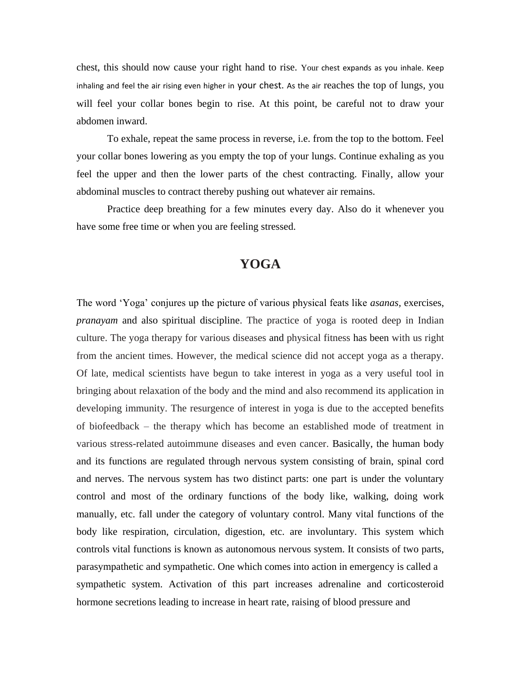chest, this should now cause your right hand to rise. Your chest expands as you inhale. Keep inhaling and feel the air rising even higher in your chest. As the air reaches the top of lungs, you will feel your collar bones begin to rise. At this point, be careful not to draw your abdomen inward.

To exhale, repeat the same process in reverse, i.e. from the top to the bottom. Feel your collar bones lowering as you empty the top of your lungs. Continue exhaling as you feel the upper and then the lower parts of the chest contracting. Finally, allow your abdominal muscles to contract thereby pushing out whatever air remains.

Practice deep breathing for a few minutes every day. Also do it whenever you have some free time or when you are feeling stressed.

## **YOGA**

The word ‗Yoga' conjures up the picture of various physical feats like *asanas,* exercises, *pranayam* and also spiritual discipline. The practice of yoga is rooted deep in Indian culture. The yoga therapy for various diseases and physical fitness has been with us right from the ancient times. However, the medical science did not accept yoga as a therapy. Of late, medical scientists have begun to take interest in yoga as a very useful tool in bringing about relaxation of the body and the mind and also recommend its application in developing immunity. The resurgence of interest in yoga is due to the accepted benefits of biofeedback – the therapy which has become an established mode of treatment in various stress-related autoimmune diseases and even cancer. Basically, the human body and its functions are regulated through nervous system consisting of brain, spinal cord and nerves. The nervous system has two distinct parts: one part is under the voluntary control and most of the ordinary functions of the body like, walking, doing work manually, etc. fall under the category of voluntary control. Many vital functions of the body like respiration, circulation, digestion, etc. are involuntary. This system which controls vital functions is known as autonomous nervous system. It consists of two parts, parasympathetic and sympathetic. One which comes into action in emergency is called a sympathetic system. Activation of this part increases adrenaline and corticosteroid hormone secretions leading to increase in heart rate, raising of blood pressure and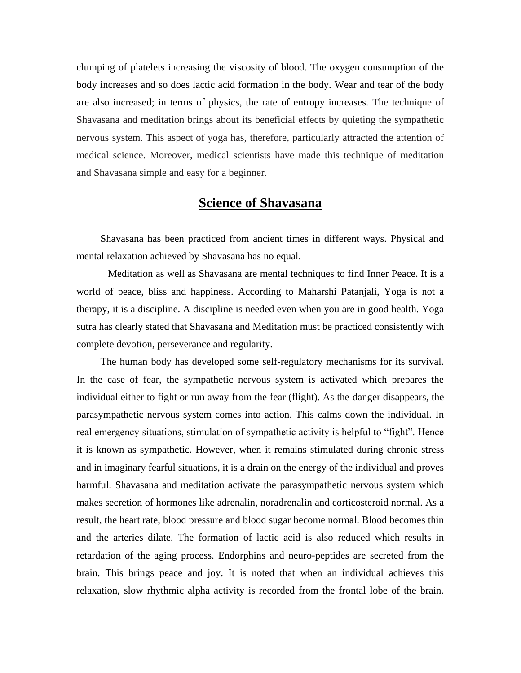clumping of platelets increasing the viscosity of blood. The oxygen consumption of the body increases and so does lactic acid formation in the body. Wear and tear of the body are also increased; in terms of physics, the rate of entropy increases. The technique of Shavasana and meditation brings about its beneficial effects by quieting the sympathetic nervous system. This aspect of yoga has, therefore, particularly attracted the attention of medical science. Moreover, medical scientists have made this technique of meditation and Shavasana simple and easy for a beginner.

## **Science of Shavasana**

Shavasana has been practiced from ancient times in different ways. Physical and mental relaxation achieved by Shavasana has no equal.

 Meditation as well as Shavasana are mental techniques to find Inner Peace. It is a world of peace, bliss and happiness. According to Maharshi Patanjali, Yoga is not a therapy, it is a discipline. A discipline is needed even when you are in good health. Yoga sutra has clearly stated that Shavasana and Meditation must be practiced consistently with complete devotion, perseverance and regularity.

The human body has developed some self-regulatory mechanisms for its survival. In the case of fear, the sympathetic nervous system is activated which prepares the individual either to fight or run away from the fear (flight). As the danger disappears, the parasympathetic nervous system comes into action. This calms down the individual. In real emergency situations, stimulation of sympathetic activity is helpful to "fight". Hence it is known as sympathetic. However, when it remains stimulated during chronic stress and in imaginary fearful situations, it is a drain on the energy of the individual and proves harmful. Shavasana and meditation activate the parasympathetic nervous system which makes secretion of hormones like adrenalin, noradrenalin and corticosteroid normal. As a result, the heart rate, blood pressure and blood sugar become normal. Blood becomes thin and the arteries dilate. The formation of lactic acid is also reduced which results in retardation of the aging process. Endorphins and neuro-peptides are secreted from the brain. This brings peace and joy. It is noted that when an individual achieves this relaxation, slow rhythmic alpha activity is recorded from the frontal lobe of the brain.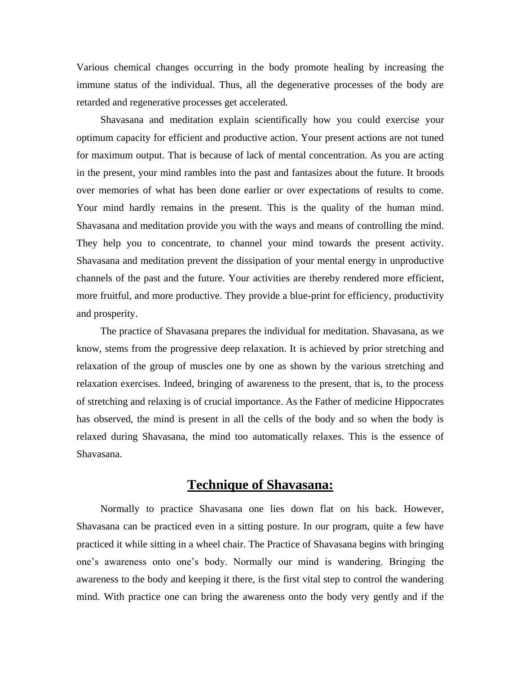Various chemical changes occurring in the body promote healing by increasing the immune status of the individual. Thus, all the degenerative processes of the body are retarded and regenerative processes get accelerated.

Shavasana and meditation explain scientifically how you could exercise your optimum capacity for efficient and productive action. Your present actions are not tuned for maximum output. That is because of lack of mental concentration. As you are acting in the present, your mind rambles into the past and fantasizes about the future. It broods over memories of what has been done earlier or over expectations of results to come. Your mind hardly remains in the present. This is the quality of the human mind. Shavasana and meditation provide you with the ways and means of controlling the mind. They help you to concentrate, to channel your mind towards the present activity. Shavasana and meditation prevent the dissipation of your mental energy in unproductive channels of the past and the future. Your activities are thereby rendered more efficient, more fruitful, and more productive. They provide a blue-print for efficiency, productivity and prosperity.

The practice of Shavasana prepares the individual for meditation. Shavasana, as we know, stems from the progressive deep relaxation. It is achieved by prior stretching and relaxation of the group of muscles one by one as shown by the various stretching and relaxation exercises. Indeed, bringing of awareness to the present, that is, to the process of stretching and relaxing is of crucial importance. As the Father of medicine Hippocrates has observed, the mind is present in all the cells of the body and so when the body is relaxed during Shavasana, the mind too automatically relaxes. This is the essence of Shavasana.

### **Technique of Shavasana:**

Normally to practice Shavasana one lies down flat on his back. However, Shavasana can be practiced even in a sitting posture. In our program, quite a few have practiced it while sitting in a wheel chair. The Practice of Shavasana begins with bringing one's awareness onto one's body. Normally our mind is wandering. Bringing the awareness to the body and keeping it there, is the first vital step to control the wandering mind. With practice one can bring the awareness onto the body very gently and if the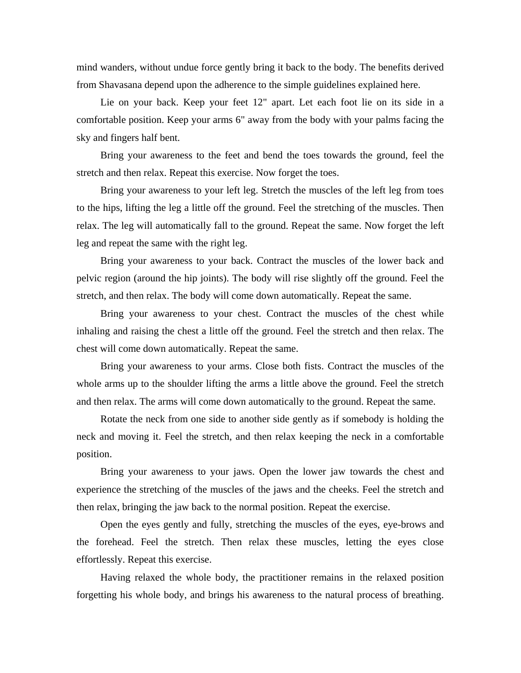mind wanders, without undue force gently bring it back to the body. The benefits derived from Shavasana depend upon the adherence to the simple guidelines explained here.

Lie on your back. Keep your feet 12" apart. Let each foot lie on its side in a comfortable position. Keep your arms 6" away from the body with your palms facing the sky and fingers half bent.

Bring your awareness to the feet and bend the toes towards the ground, feel the stretch and then relax. Repeat this exercise. Now forget the toes.

Bring your awareness to your left leg. Stretch the muscles of the left leg from toes to the hips, lifting the leg a little off the ground. Feel the stretching of the muscles. Then relax. The leg will automatically fall to the ground. Repeat the same. Now forget the left leg and repeat the same with the right leg.

Bring your awareness to your back. Contract the muscles of the lower back and pelvic region (around the hip joints). The body will rise slightly off the ground. Feel the stretch, and then relax. The body will come down automatically. Repeat the same.

Bring your awareness to your chest. Contract the muscles of the chest while inhaling and raising the chest a little off the ground. Feel the stretch and then relax. The chest will come down automatically. Repeat the same.

Bring your awareness to your arms. Close both fists. Contract the muscles of the whole arms up to the shoulder lifting the arms a little above the ground. Feel the stretch and then relax. The arms will come down automatically to the ground. Repeat the same.

Rotate the neck from one side to another side gently as if somebody is holding the neck and moving it. Feel the stretch, and then relax keeping the neck in a comfortable position.

Bring your awareness to your jaws. Open the lower jaw towards the chest and experience the stretching of the muscles of the jaws and the cheeks. Feel the stretch and then relax, bringing the jaw back to the normal position. Repeat the exercise.

Open the eyes gently and fully, stretching the muscles of the eyes, eye-brows and the forehead. Feel the stretch. Then relax these muscles, letting the eyes close effortlessly. Repeat this exercise.

Having relaxed the whole body, the practitioner remains in the relaxed position forgetting his whole body, and brings his awareness to the natural process of breathing.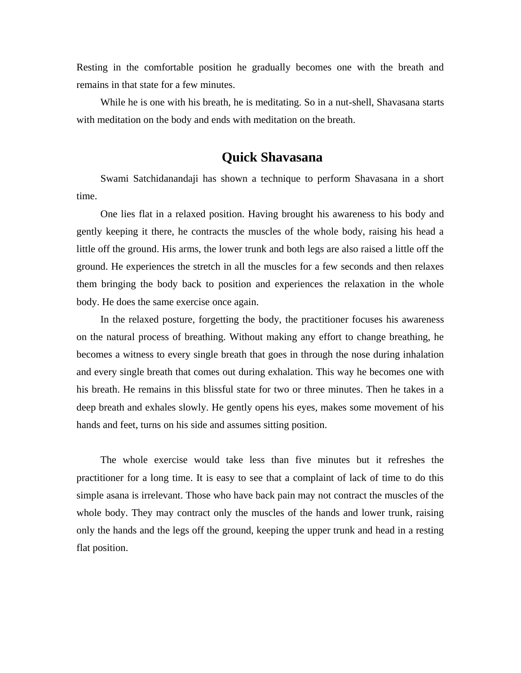Resting in the comfortable position he gradually becomes one with the breath and remains in that state for a few minutes.

While he is one with his breath, he is meditating. So in a nut-shell, Shavasana starts with meditation on the body and ends with meditation on the breath.

## **Quick Shavasana**

Swami Satchidanandaji has shown a technique to perform Shavasana in a short time.

One lies flat in a relaxed position. Having brought his awareness to his body and gently keeping it there, he contracts the muscles of the whole body, raising his head a little off the ground. His arms, the lower trunk and both legs are also raised a little off the ground. He experiences the stretch in all the muscles for a few seconds and then relaxes them bringing the body back to position and experiences the relaxation in the whole body. He does the same exercise once again.

In the relaxed posture, forgetting the body, the practitioner focuses his awareness on the natural process of breathing. Without making any effort to change breathing, he becomes a witness to every single breath that goes in through the nose during inhalation and every single breath that comes out during exhalation. This way he becomes one with his breath. He remains in this blissful state for two or three minutes. Then he takes in a deep breath and exhales slowly. He gently opens his eyes, makes some movement of his hands and feet, turns on his side and assumes sitting position.

The whole exercise would take less than five minutes but it refreshes the practitioner for a long time. It is easy to see that a complaint of lack of time to do this simple asana is irrelevant. Those who have back pain may not contract the muscles of the whole body. They may contract only the muscles of the hands and lower trunk, raising only the hands and the legs off the ground, keeping the upper trunk and head in a resting flat position.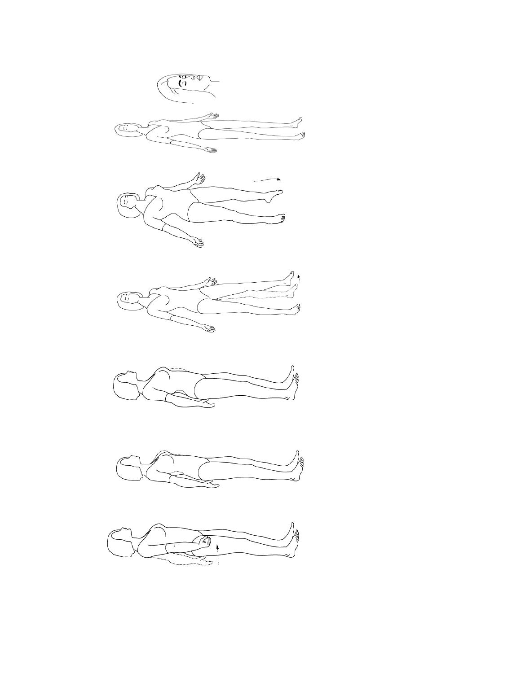









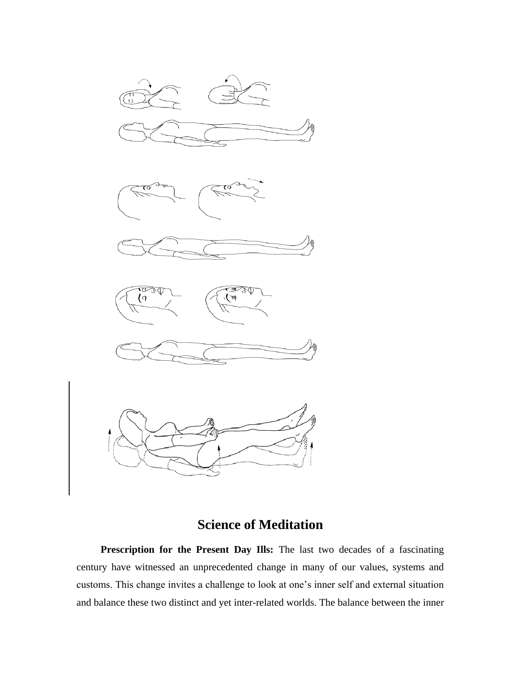









## **Science of Meditation**

**Prescription for the Present Day Ills:** The last two decades of a fascinating century have witnessed an unprecedented change in many of our values, systems and customs. This change invites a challenge to look at one's inner self and external situation and balance these two distinct and yet inter-related worlds. The balance between the inner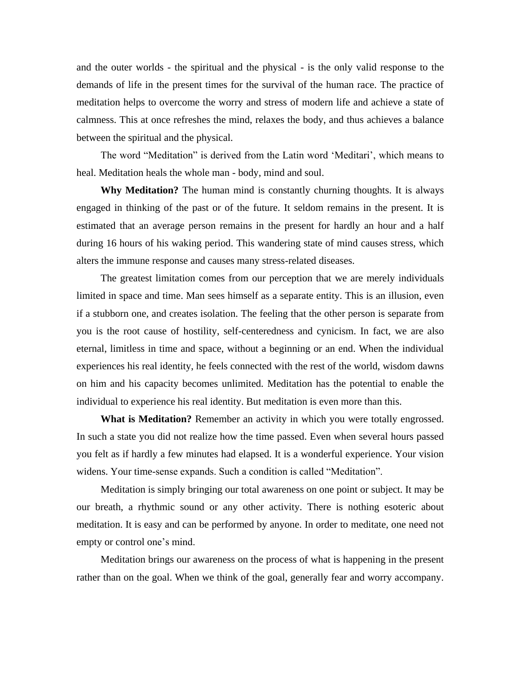and the outer worlds - the spiritual and the physical - is the only valid response to the demands of life in the present times for the survival of the human race. The practice of meditation helps to overcome the worry and stress of modern life and achieve a state of calmness. This at once refreshes the mind, relaxes the body, and thus achieves a balance between the spiritual and the physical.

The word "Meditation" is derived from the Latin word 'Meditari', which means to heal. Meditation heals the whole man - body, mind and soul.

**Why Meditation?** The human mind is constantly churning thoughts. It is always engaged in thinking of the past or of the future. It seldom remains in the present. It is estimated that an average person remains in the present for hardly an hour and a half during 16 hours of his waking period. This wandering state of mind causes stress, which alters the immune response and causes many stress-related diseases.

The greatest limitation comes from our perception that we are merely individuals limited in space and time. Man sees himself as a separate entity. This is an illusion, even if a stubborn one, and creates isolation. The feeling that the other person is separate from you is the root cause of hostility, self-centeredness and cynicism. In fact, we are also eternal, limitless in time and space, without a beginning or an end. When the individual experiences his real identity, he feels connected with the rest of the world, wisdom dawns on him and his capacity becomes unlimited. Meditation has the potential to enable the individual to experience his real identity. But meditation is even more than this.

**What is Meditation?** Remember an activity in which you were totally engrossed. In such a state you did not realize how the time passed. Even when several hours passed you felt as if hardly a few minutes had elapsed. It is a wonderful experience. Your vision widens. Your time-sense expands. Such a condition is called "Meditation".

Meditation is simply bringing our total awareness on one point or subject. It may be our breath, a rhythmic sound or any other activity. There is nothing esoteric about meditation. It is easy and can be performed by anyone. In order to meditate, one need not empty or control one's mind.

Meditation brings our awareness on the process of what is happening in the present rather than on the goal. When we think of the goal, generally fear and worry accompany.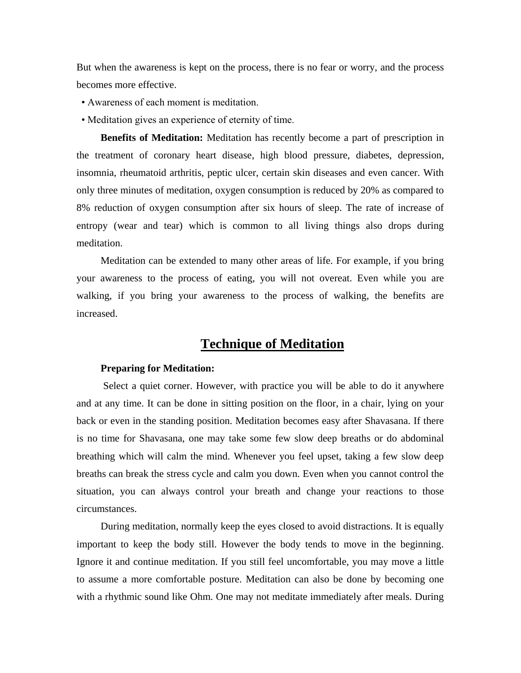But when the awareness is kept on the process, there is no fear or worry, and the process becomes more effective.

- Awareness of each moment is meditation.
- Meditation gives an experience of eternity of time.

**Benefits of Meditation:** Meditation has recently become a part of prescription in the treatment of coronary heart disease, high blood pressure, diabetes, depression, insomnia, rheumatoid arthritis, peptic ulcer, certain skin diseases and even cancer. With only three minutes of meditation, oxygen consumption is reduced by 20% as compared to 8% reduction of oxygen consumption after six hours of sleep. The rate of increase of entropy (wear and tear) which is common to all living things also drops during meditation.

Meditation can be extended to many other areas of life. For example, if you bring your awareness to the process of eating, you will not overeat. Even while you are walking, if you bring your awareness to the process of walking, the benefits are increased.

#### **Technique of Meditation**

#### **Preparing for Meditation:**

Select a quiet corner. However, with practice you will be able to do it anywhere and at any time. It can be done in sitting position on the floor, in a chair, lying on your back or even in the standing position. Meditation becomes easy after Shavasana. If there is no time for Shavasana, one may take some few slow deep breaths or do abdominal breathing which will calm the mind. Whenever you feel upset, taking a few slow deep breaths can break the stress cycle and calm you down. Even when you cannot control the situation, you can always control your breath and change your reactions to those circumstances.

During meditation, normally keep the eyes closed to avoid distractions. It is equally important to keep the body still. However the body tends to move in the beginning. Ignore it and continue meditation. If you still feel uncomfortable, you may move a little to assume a more comfortable posture. Meditation can also be done by becoming one with a rhythmic sound like Ohm. One may not meditate immediately after meals. During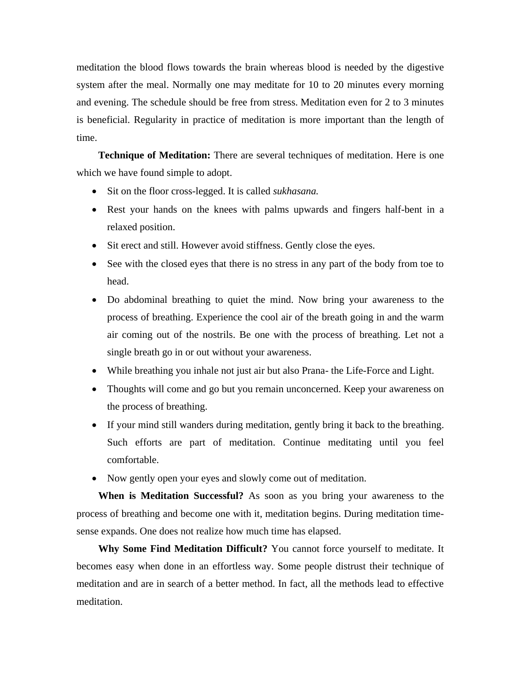meditation the blood flows towards the brain whereas blood is needed by the digestive system after the meal. Normally one may meditate for 10 to 20 minutes every morning and evening. The schedule should be free from stress. Meditation even for 2 to 3 minutes is beneficial. Regularity in practice of meditation is more important than the length of time.

**Technique of Meditation:** There are several techniques of meditation. Here is one which we have found simple to adopt.

- Sit on the floor cross-legged. It is called *sukhasana.*
- Rest your hands on the knees with palms upwards and fingers half-bent in a relaxed position.
- Sit erect and still. However avoid stiffness. Gently close the eyes.
- See with the closed eyes that there is no stress in any part of the body from toe to head.
- Do abdominal breathing to quiet the mind. Now bring your awareness to the process of breathing. Experience the cool air of the breath going in and the warm air coming out of the nostrils. Be one with the process of breathing. Let not a single breath go in or out without your awareness.
- While breathing you inhale not just air but also Prana- the Life-Force and Light.
- Thoughts will come and go but you remain unconcerned. Keep your awareness on the process of breathing.
- If your mind still wanders during meditation, gently bring it back to the breathing. Such efforts are part of meditation. Continue meditating until you feel comfortable.
- Now gently open your eyes and slowly come out of meditation.

**When is Meditation Successful?** As soon as you bring your awareness to the process of breathing and become one with it, meditation begins. During meditation timesense expands. One does not realize how much time has elapsed.

**Why Some Find Meditation Difficult?** You cannot force yourself to meditate. It becomes easy when done in an effortless way. Some people distrust their technique of meditation and are in search of a better method. In fact, all the methods lead to effective meditation.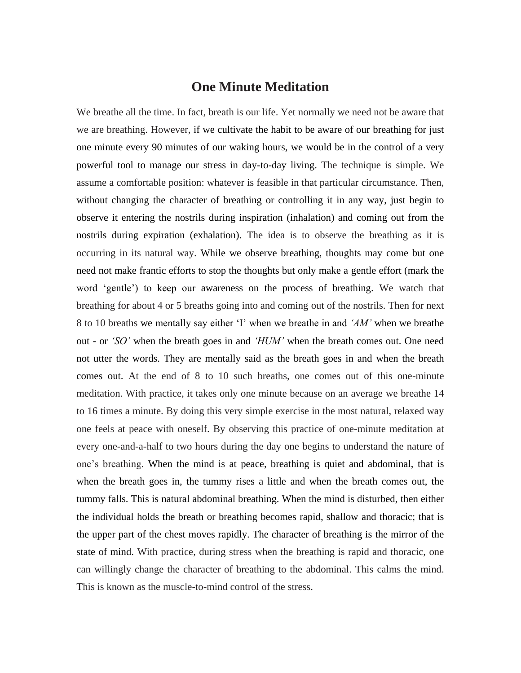#### **One Minute Meditation**

We breathe all the time. In fact, breath is our life. Yet normally we need not be aware that we are breathing. However, if we cultivate the habit to be aware of our breathing for just one minute every 90 minutes of our waking hours, we would be in the control of a very powerful tool to manage our stress in day-to-day living. The technique is simple. We assume a comfortable position: whatever is feasible in that particular circumstance. Then, without changing the character of breathing or controlling it in any way, just begin to observe it entering the nostrils during inspiration (inhalation) and coming out from the nostrils during expiration (exhalation). The idea is to observe the breathing as it is occurring in its natural way. While we observe breathing, thoughts may come but one need not make frantic efforts to stop the thoughts but only make a gentle effort (mark the word 'gentle') to keep our awareness on the process of breathing. We watch that breathing for about 4 or 5 breaths going into and coming out of the nostrils. Then for next 8 to 10 breaths we mentally say either 'I' when we breathe in and *'AM'* when we breathe out - or *"SO"* when the breath goes in and *"HUM"* when the breath comes out. One need not utter the words. They are mentally said as the breath goes in and when the breath comes out. At the end of 8 to 10 such breaths, one comes out of this one-minute meditation. With practice, it takes only one minute because on an average we breathe 14 to 16 times a minute. By doing this very simple exercise in the most natural, relaxed way one feels at peace with oneself. By observing this practice of one-minute meditation at every one-and-a-half to two hours during the day one begins to understand the nature of one's breathing. When the mind is at peace, breathing is quiet and abdominal, that is when the breath goes in, the tummy rises a little and when the breath comes out, the tummy falls. This is natural abdominal breathing. When the mind is disturbed, then either the individual holds the breath or breathing becomes rapid, shallow and thoracic; that is the upper part of the chest moves rapidly. The character of breathing is the mirror of the state of mind. With practice, during stress when the breathing is rapid and thoracic, one can willingly change the character of breathing to the abdominal. This calms the mind. This is known as the muscle-to-mind control of the stress.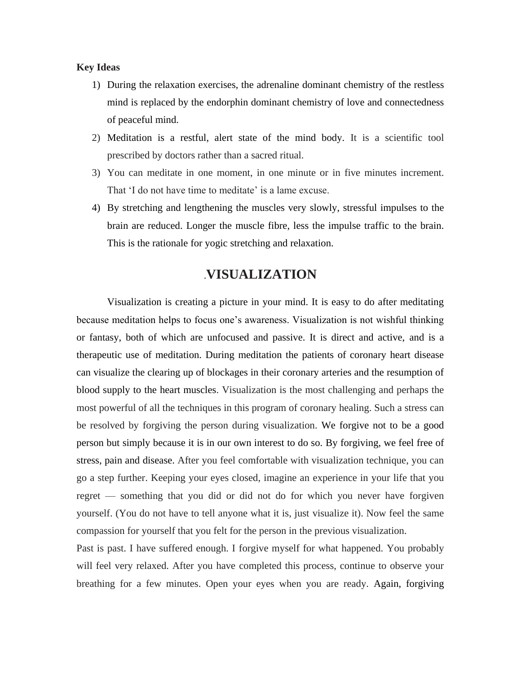#### **Key Ideas**

- 1) During the relaxation exercises, the adrenaline dominant chemistry of the restless mind is replaced by the endorphin dominant chemistry of love and connectedness of peaceful mind.
- 2) Meditation is a restful, alert state of the mind body. It is a scientific tool prescribed by doctors rather than a sacred ritual.
- 3) You can meditate in one moment, in one minute or in five minutes increment. That 'I do not have time to meditate' is a lame excuse.
- 4) By stretching and lengthening the muscles very slowly, stressful impulses to the brain are reduced. Longer the muscle fibre, less the impulse traffic to the brain. This is the rationale for yogic stretching and relaxation.

#### .**VISUALIZATION**

Visualization is creating a picture in your mind. It is easy to do after meditating because meditation helps to focus one's awareness. Visualization is not wishful thinking or fantasy, both of which are unfocused and passive. It is direct and active, and is a therapeutic use of meditation. During meditation the patients of coronary heart disease can visualize the clearing up of blockages in their coronary arteries and the resumption of blood supply to the heart muscles. Visualization is the most challenging and perhaps the most powerful of all the techniques in this program of coronary healing. Such a stress can be resolved by forgiving the person during visualization. We forgive not to be a good person but simply because it is in our own interest to do so. By forgiving, we feel free of stress, pain and disease. After you feel comfortable with visualization technique, you can go a step further. Keeping your eyes closed, imagine an experience in your life that you regret — something that you did or did not do for which you never have forgiven yourself. (You do not have to tell anyone what it is, just visualize it). Now feel the same compassion for yourself that you felt for the person in the previous visualization.

Past is past. I have suffered enough. I forgive myself for what happened. You probably will feel very relaxed. After you have completed this process, continue to observe your breathing for a few minutes. Open your eyes when you are ready. Again, forgiving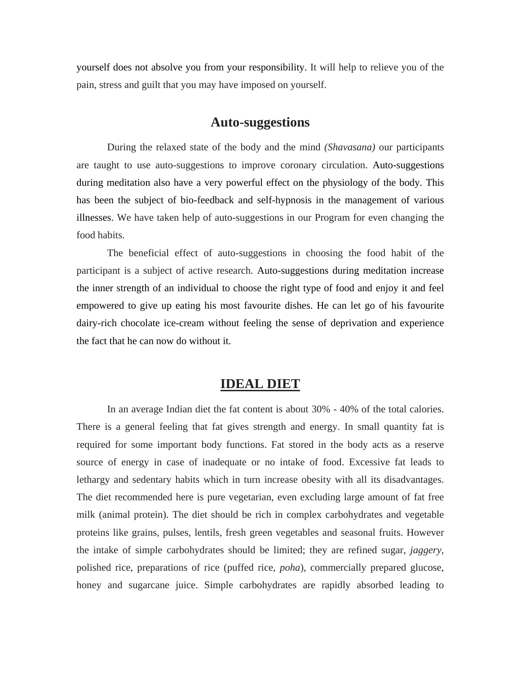yourself does not absolve you from your responsibility. It will help to relieve you of the pain, stress and guilt that you may have imposed on yourself.

### **Auto-suggestions**

During the relaxed state of the body and the mind *(Shavasana)* our participants are taught to use auto-suggestions to improve coronary circulation. Auto-suggestions during meditation also have a very powerful effect on the physiology of the body. This has been the subject of bio-feedback and self-hypnosis in the management of various illnesses. We have taken help of auto-suggestions in our Program for even changing the food habits.

The beneficial effect of auto-suggestions in choosing the food habit of the participant is a subject of active research. Auto-suggestions during meditation increase the inner strength of an individual to choose the right type of food and enjoy it and feel empowered to give up eating his most favourite dishes. He can let go of his favourite dairy-rich chocolate ice-cream without feeling the sense of deprivation and experience the fact that he can now do without it.

#### **IDEAL DIET**

In an average Indian diet the fat content is about 30% - 40% of the total calories. There is a general feeling that fat gives strength and energy. In small quantity fat is required for some important body functions. Fat stored in the body acts as a reserve source of energy in case of inadequate or no intake of food. Excessive fat leads to lethargy and sedentary habits which in turn increase obesity with all its disadvantages. The diet recommended here is pure vegetarian, even excluding large amount of fat free milk (animal protein). The diet should be rich in complex carbohydrates and vegetable proteins like grains, pulses, lentils, fresh green vegetables and seasonal fruits. However the intake of simple carbohydrates should be limited; they are refined sugar, *jaggery,* polished rice, preparations of rice (puffed rice, *poha*), commercially prepared glucose, honey and sugarcane juice. Simple carbohydrates are rapidly absorbed leading to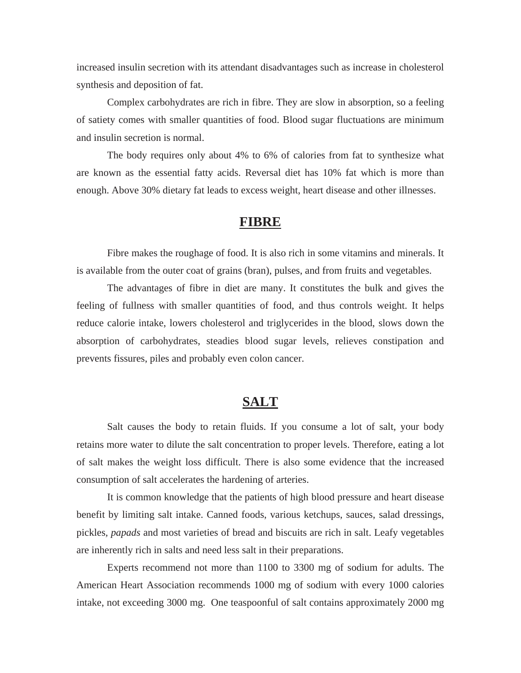increased insulin secretion with its attendant disadvantages such as increase in cholesterol synthesis and deposition of fat.

Complex carbohydrates are rich in fibre. They are slow in absorption, so a feeling of satiety comes with smaller quantities of food. Blood sugar fluctuations are minimum and insulin secretion is normal.

The body requires only about 4% to 6% of calories from fat to synthesize what are known as the essential fatty acids. Reversal diet has 10% fat which is more than enough. Above 30% dietary fat leads to excess weight, heart disease and other illnesses.

## **FIBRE**

Fibre makes the roughage of food. It is also rich in some vitamins and minerals. It is available from the outer coat of grains (bran), pulses, and from fruits and vegetables.

The advantages of fibre in diet are many. It constitutes the bulk and gives the feeling of fullness with smaller quantities of food, and thus controls weight. It helps reduce calorie intake, lowers cholesterol and triglycerides in the blood, slows down the absorption of carbohydrates, steadies blood sugar levels, relieves constipation and prevents fissures, piles and probably even colon cancer.

### **SALT**

Salt causes the body to retain fluids. If you consume a lot of salt, your body retains more water to dilute the salt concentration to proper levels. Therefore, eating a lot of salt makes the weight loss difficult. There is also some evidence that the increased consumption of salt accelerates the hardening of arteries.

It is common knowledge that the patients of high blood pressure and heart disease benefit by limiting salt intake. Canned foods, various ketchups, sauces, salad dressings, pickles*, papads* and most varieties of bread and biscuits are rich in salt. Leafy vegetables are inherently rich in salts and need less salt in their preparations.

Experts recommend not more than 1100 to 3300 mg of sodium for adults. The American Heart Association recommends 1000 mg of sodium with every 1000 calories intake, not exceeding 3000 mg. One teaspoonful of salt contains approximately 2000 mg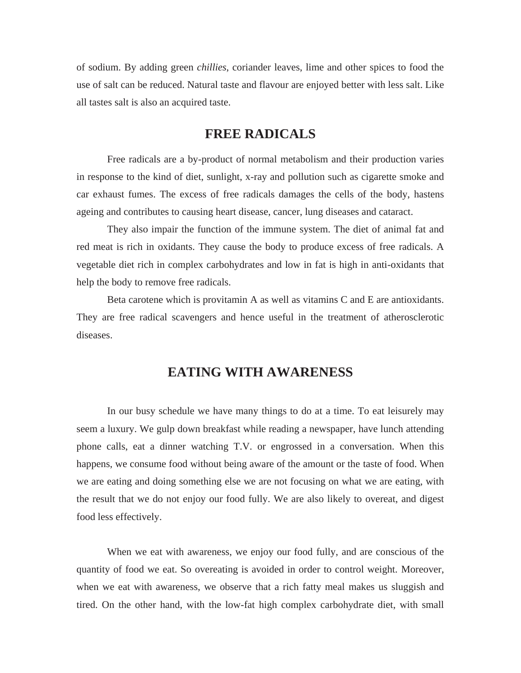of sodium. By adding green *chillies*, coriander leaves, lime and other spices to food the use of salt can be reduced. Natural taste and flavour are enjoyed better with less salt. Like all tastes salt is also an acquired taste.

#### **FREE RADICALS**

Free radicals are a by-product of normal metabolism and their production varies in response to the kind of diet, sunlight, x-ray and pollution such as cigarette smoke and car exhaust fumes. The excess of free radicals damages the cells of the body, hastens ageing and contributes to causing heart disease, cancer, lung diseases and cataract.

They also impair the function of the immune system. The diet of animal fat and red meat is rich in oxidants. They cause the body to produce excess of free radicals. A vegetable diet rich in complex carbohydrates and low in fat is high in anti-oxidants that help the body to remove free radicals.

Beta carotene which is provitamin A as well as vitamins C and E are antioxidants. They are free radical scavengers and hence useful in the treatment of atherosclerotic diseases.

## **EATING WITH AWARENESS**

In our busy schedule we have many things to do at a time. To eat leisurely may seem a luxury. We gulp down breakfast while reading a newspaper, have lunch attending phone calls, eat a dinner watching T.V. or engrossed in a conversation. When this happens, we consume food without being aware of the amount or the taste of food. When we are eating and doing something else we are not focusing on what we are eating, with the result that we do not enjoy our food fully. We are also likely to overeat, and digest food less effectively.

When we eat with awareness, we enjoy our food fully, and are conscious of the quantity of food we eat. So overeating is avoided in order to control weight. Moreover, when we eat with awareness, we observe that a rich fatty meal makes us sluggish and tired. On the other hand, with the low-fat high complex carbohydrate diet, with small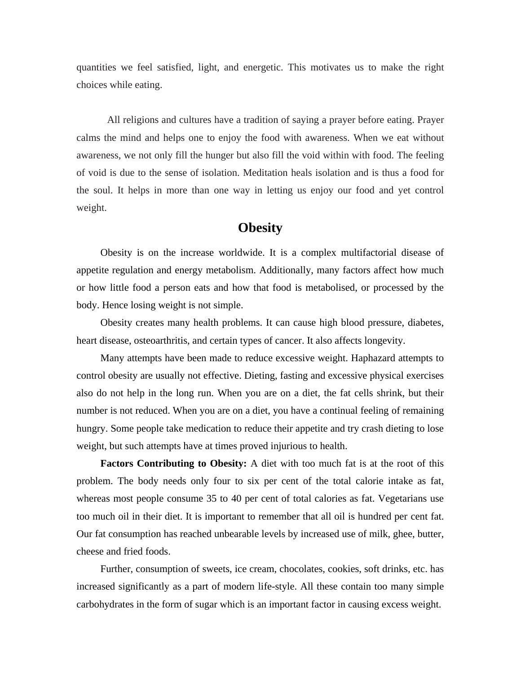quantities we feel satisfied, light, and energetic. This motivates us to make the right choices while eating.

All religions and cultures have a tradition of saying a prayer before eating. Prayer calms the mind and helps one to enjoy the food with awareness. When we eat without awareness, we not only fill the hunger but also fill the void within with food. The feeling of void is due to the sense of isolation. Meditation heals isolation and is thus a food for the soul. It helps in more than one way in letting us enjoy our food and yet control weight.

### **Obesity**

Obesity is on the increase worldwide. It is a complex multifactorial disease of appetite regulation and energy metabolism. Additionally, many factors affect how much or how little food a person eats and how that food is metabolised, or processed by the body. Hence losing weight is not simple.

Obesity creates many health problems. It can cause high blood pressure, diabetes, heart disease, osteoarthritis, and certain types of cancer. It also affects longevity.

Many attempts have been made to reduce excessive weight. Haphazard attempts to control obesity are usually not effective. Dieting, fasting and excessive physical exercises also do not help in the long run. When you are on a diet, the fat cells shrink, but their number is not reduced. When you are on a diet, you have a continual feeling of remaining hungry. Some people take medication to reduce their appetite and try crash dieting to lose weight, but such attempts have at times proved injurious to health.

**Factors Contributing to Obesity:** A diet with too much fat is at the root of this problem. The body needs only four to six per cent of the total calorie intake as fat, whereas most people consume 35 to 40 per cent of total calories as fat. Vegetarians use too much oil in their diet. It is important to remember that all oil is hundred per cent fat. Our fat consumption has reached unbearable levels by increased use of milk, ghee, butter, cheese and fried foods.

Further, consumption of sweets, ice cream, chocolates, cookies, soft drinks, etc. has increased significantly as a part of modern life-style. All these contain too many simple carbohydrates in the form of sugar which is an important factor in causing excess weight.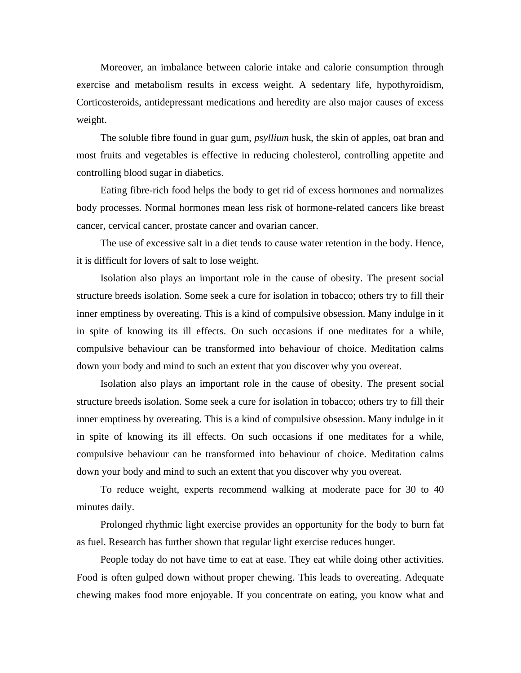Moreover, an imbalance between calorie intake and calorie consumption through exercise and metabolism results in excess weight. A sedentary life, hypothyroidism, Corticosteroids, antidepressant medications and heredity are also major causes of excess weight.

The soluble fibre found in guar gum, *psyllium* husk, the skin of apples, oat bran and most fruits and vegetables is effective in reducing cholesterol, controlling appetite and controlling blood sugar in diabetics.

Eating fibre-rich food helps the body to get rid of excess hormones and normalizes body processes. Normal hormones mean less risk of hormone-related cancers like breast cancer, cervical cancer, prostate cancer and ovarian cancer.

The use of excessive salt in a diet tends to cause water retention in the body. Hence, it is difficult for lovers of salt to lose weight.

Isolation also plays an important role in the cause of obesity. The present social structure breeds isolation. Some seek a cure for isolation in tobacco; others try to fill their inner emptiness by overeating. This is a kind of compulsive obsession. Many indulge in it in spite of knowing its ill effects. On such occasions if one meditates for a while, compulsive behaviour can be transformed into behaviour of choice. Meditation calms down your body and mind to such an extent that you discover why you overeat.

Isolation also plays an important role in the cause of obesity. The present social structure breeds isolation. Some seek a cure for isolation in tobacco; others try to fill their inner emptiness by overeating. This is a kind of compulsive obsession. Many indulge in it in spite of knowing its ill effects. On such occasions if one meditates for a while, compulsive behaviour can be transformed into behaviour of choice. Meditation calms down your body and mind to such an extent that you discover why you overeat.

To reduce weight, experts recommend walking at moderate pace for 30 to 40 minutes daily.

Prolonged rhythmic light exercise provides an opportunity for the body to burn fat as fuel. Research has further shown that regular light exercise reduces hunger.

People today do not have time to eat at ease. They eat while doing other activities. Food is often gulped down without proper chewing. This leads to overeating. Adequate chewing makes food more enjoyable. If you concentrate on eating, you know what and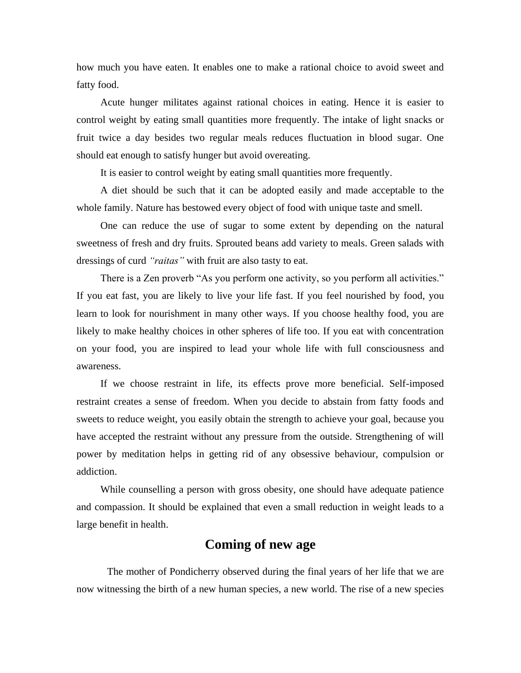how much you have eaten. It enables one to make a rational choice to avoid sweet and fatty food.

Acute hunger militates against rational choices in eating. Hence it is easier to control weight by eating small quantities more frequently. The intake of light snacks or fruit twice a day besides two regular meals reduces fluctuation in blood sugar. One should eat enough to satisfy hunger but avoid overeating.

It is easier to control weight by eating small quantities more frequently.

A diet should be such that it can be adopted easily and made acceptable to the whole family. Nature has bestowed every object of food with unique taste and smell.

One can reduce the use of sugar to some extent by depending on the natural sweetness of fresh and dry fruits. Sprouted beans add variety to meals. Green salads with dressings of curd *"raitas"* with fruit are also tasty to eat.

There is a Zen proverb "As you perform one activity, so you perform all activities." If you eat fast, you are likely to live your life fast. If you feel nourished by food, you learn to look for nourishment in many other ways. If you choose healthy food, you are likely to make healthy choices in other spheres of life too. If you eat with concentration on your food, you are inspired to lead your whole life with full consciousness and awareness.

If we choose restraint in life, its effects prove more beneficial. Self-imposed restraint creates a sense of freedom. When you decide to abstain from fatty foods and sweets to reduce weight, you easily obtain the strength to achieve your goal, because you have accepted the restraint without any pressure from the outside. Strengthening of will power by meditation helps in getting rid of any obsessive behaviour, compulsion or addiction.

While counselling a person with gross obesity, one should have adequate patience and compassion. It should be explained that even a small reduction in weight leads to a large benefit in health.

## **Coming of new age**

The mother of Pondicherry observed during the final years of her life that we are now witnessing the birth of a new human species, a new world. The rise of a new species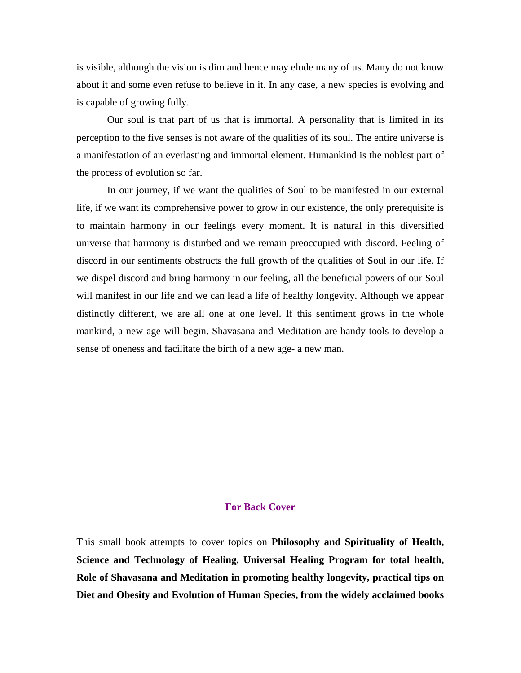is visible, although the vision is dim and hence may elude many of us. Many do not know about it and some even refuse to believe in it. In any case, a new species is evolving and is capable of growing fully.

Our soul is that part of us that is immortal. A personality that is limited in its perception to the five senses is not aware of the qualities of its soul. The entire universe is a manifestation of an everlasting and immortal element. Humankind is the noblest part of the process of evolution so far.

In our journey, if we want the qualities of Soul to be manifested in our external life, if we want its comprehensive power to grow in our existence, the only prerequisite is to maintain harmony in our feelings every moment. It is natural in this diversified universe that harmony is disturbed and we remain preoccupied with discord. Feeling of discord in our sentiments obstructs the full growth of the qualities of Soul in our life. If we dispel discord and bring harmony in our feeling, all the beneficial powers of our Soul will manifest in our life and we can lead a life of healthy longevity. Although we appear distinctly different, we are all one at one level. If this sentiment grows in the whole mankind, a new age will begin. Shavasana and Meditation are handy tools to develop a sense of oneness and facilitate the birth of a new age- a new man.

#### **For Back Cover**

This small book attempts to cover topics on **Philosophy and Spirituality of Health, Science and Technology of Healing, Universal Healing Program for total health, Role of Shavasana and Meditation in promoting healthy longevity, practical tips on Diet and Obesity and Evolution of Human Species, from the widely acclaimed books**